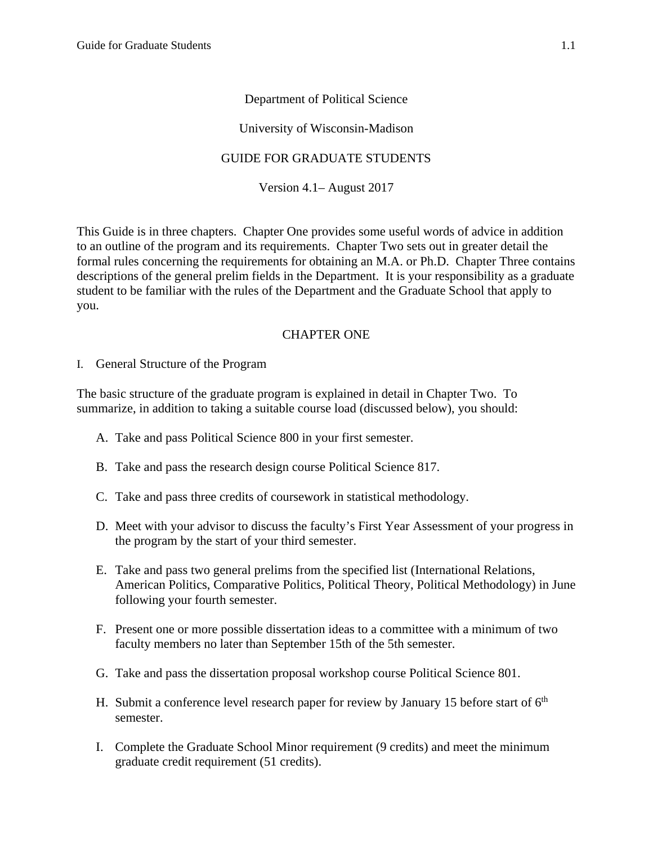# Department of Political Science

### University of Wisconsin-Madison

# GUIDE FOR GRADUATE STUDENTS

Version 4.1– August 2017

This Guide is in three chapters. Chapter One provides some useful words of advice in addition to an outline of the program and its requirements. Chapter Two sets out in greater detail the formal rules concerning the requirements for obtaining an M.A. or Ph.D. Chapter Three contains descriptions of the general prelim fields in the Department. It is your responsibility as a graduate student to be familiar with the rules of the Department and the Graduate School that apply to you.

# CHAPTER ONE

I. General Structure of the Program

The basic structure of the graduate program is explained in detail in Chapter Two. To summarize, in addition to taking a suitable course load (discussed below), you should:

- A. Take and pass Political Science 800 in your first semester.
- B. Take and pass the research design course Political Science 817.
- C. Take and pass three credits of coursework in statistical methodology.
- D. Meet with your advisor to discuss the faculty's First Year Assessment of your progress in the program by the start of your third semester.
- E. Take and pass two general prelims from the specified list (International Relations, American Politics, Comparative Politics, Political Theory, Political Methodology) in June following your fourth semester.
- F. Present one or more possible dissertation ideas to a committee with a minimum of two faculty members no later than September 15th of the 5th semester.
- G. Take and pass the dissertation proposal workshop course Political Science 801.
- H. Submit a conference level research paper for review by January 15 before start of  $6<sup>th</sup>$ semester.
- I. Complete the Graduate School Minor requirement (9 credits) and meet the minimum graduate credit requirement (51 credits).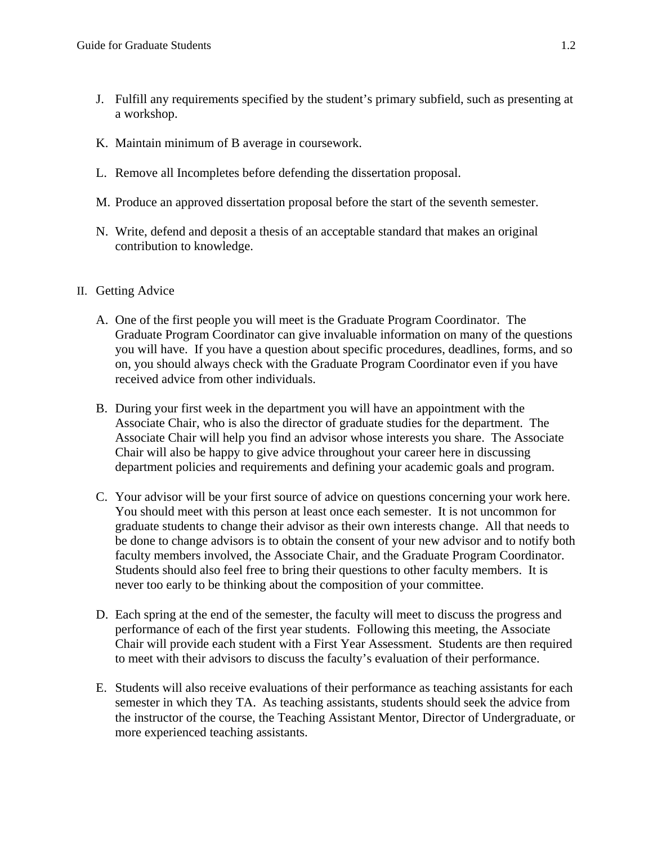- J. Fulfill any requirements specified by the student's primary subfield, such as presenting at a workshop.
- K. Maintain minimum of B average in coursework.
- L. Remove all Incompletes before defending the dissertation proposal.
- M. Produce an approved dissertation proposal before the start of the seventh semester.
- N. Write, defend and deposit a thesis of an acceptable standard that makes an original contribution to knowledge.
- II. Getting Advice
	- A. One of the first people you will meet is the Graduate Program Coordinator. The Graduate Program Coordinator can give invaluable information on many of the questions you will have. If you have a question about specific procedures, deadlines, forms, and so on, you should always check with the Graduate Program Coordinator even if you have received advice from other individuals.
	- B. During your first week in the department you will have an appointment with the Associate Chair, who is also the director of graduate studies for the department. The Associate Chair will help you find an advisor whose interests you share. The Associate Chair will also be happy to give advice throughout your career here in discussing department policies and requirements and defining your academic goals and program.
	- C. Your advisor will be your first source of advice on questions concerning your work here. You should meet with this person at least once each semester. It is not uncommon for graduate students to change their advisor as their own interests change. All that needs to be done to change advisors is to obtain the consent of your new advisor and to notify both faculty members involved, the Associate Chair, and the Graduate Program Coordinator. Students should also feel free to bring their questions to other faculty members. It is never too early to be thinking about the composition of your committee.
	- D. Each spring at the end of the semester, the faculty will meet to discuss the progress and performance of each of the first year students. Following this meeting, the Associate Chair will provide each student with a First Year Assessment. Students are then required to meet with their advisors to discuss the faculty's evaluation of their performance.
	- E. Students will also receive evaluations of their performance as teaching assistants for each semester in which they TA. As teaching assistants, students should seek the advice from the instructor of the course, the Teaching Assistant Mentor, Director of Undergraduate, or more experienced teaching assistants.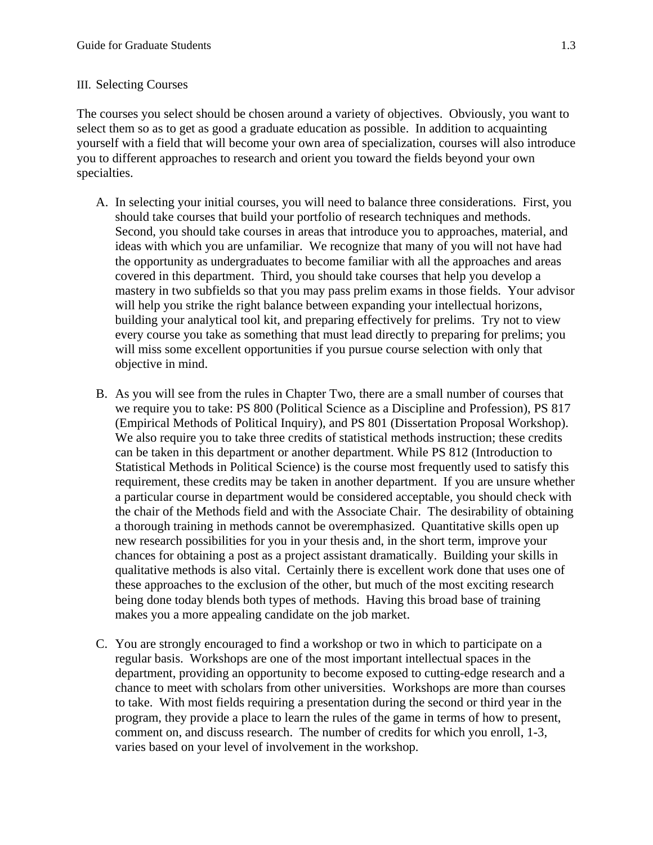### III. Selecting Courses

The courses you select should be chosen around a variety of objectives. Obviously, you want to select them so as to get as good a graduate education as possible. In addition to acquainting yourself with a field that will become your own area of specialization, courses will also introduce you to different approaches to research and orient you toward the fields beyond your own specialties.

- A. In selecting your initial courses, you will need to balance three considerations. First, you should take courses that build your portfolio of research techniques and methods. Second, you should take courses in areas that introduce you to approaches, material, and ideas with which you are unfamiliar. We recognize that many of you will not have had the opportunity as undergraduates to become familiar with all the approaches and areas covered in this department. Third, you should take courses that help you develop a mastery in two subfields so that you may pass prelim exams in those fields. Your advisor will help you strike the right balance between expanding your intellectual horizons, building your analytical tool kit, and preparing effectively for prelims. Try not to view every course you take as something that must lead directly to preparing for prelims; you will miss some excellent opportunities if you pursue course selection with only that objective in mind.
- B. As you will see from the rules in Chapter Two, there are a small number of courses that we require you to take: PS 800 (Political Science as a Discipline and Profession), PS 817 (Empirical Methods of Political Inquiry), and PS 801 (Dissertation Proposal Workshop). We also require you to take three credits of statistical methods instruction; these credits can be taken in this department or another department. While PS 812 (Introduction to Statistical Methods in Political Science) is the course most frequently used to satisfy this requirement, these credits may be taken in another department. If you are unsure whether a particular course in department would be considered acceptable, you should check with the chair of the Methods field and with the Associate Chair. The desirability of obtaining a thorough training in methods cannot be overemphasized. Quantitative skills open up new research possibilities for you in your thesis and, in the short term, improve your chances for obtaining a post as a project assistant dramatically. Building your skills in qualitative methods is also vital. Certainly there is excellent work done that uses one of these approaches to the exclusion of the other, but much of the most exciting research being done today blends both types of methods. Having this broad base of training makes you a more appealing candidate on the job market.
- C. You are strongly encouraged to find a workshop or two in which to participate on a regular basis. Workshops are one of the most important intellectual spaces in the department, providing an opportunity to become exposed to cutting-edge research and a chance to meet with scholars from other universities. Workshops are more than courses to take. With most fields requiring a presentation during the second or third year in the program, they provide a place to learn the rules of the game in terms of how to present, comment on, and discuss research. The number of credits for which you enroll, 1-3, varies based on your level of involvement in the workshop.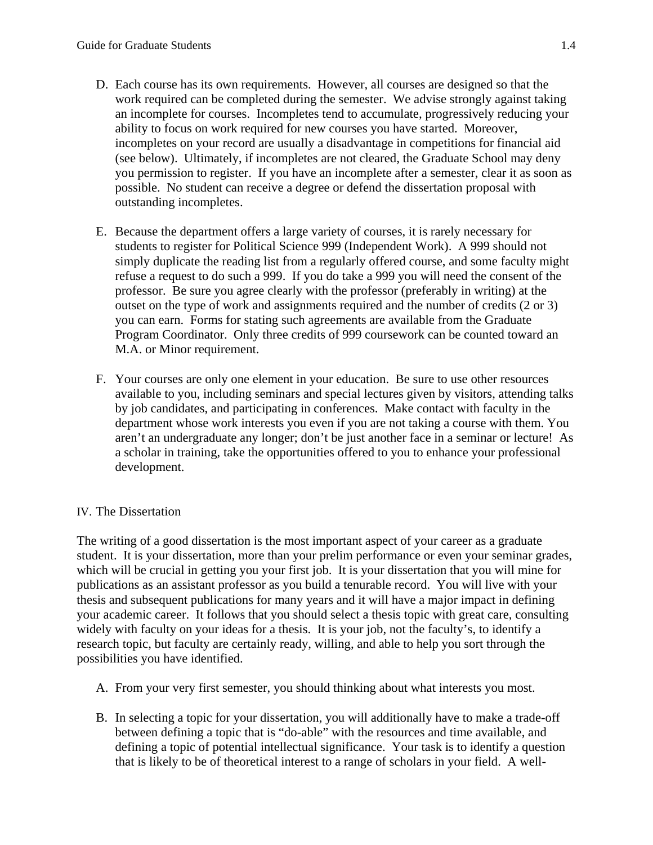- D. Each course has its own requirements. However, all courses are designed so that the work required can be completed during the semester. We advise strongly against taking an incomplete for courses. Incompletes tend to accumulate, progressively reducing your ability to focus on work required for new courses you have started. Moreover, incompletes on your record are usually a disadvantage in competitions for financial aid (see below). Ultimately, if incompletes are not cleared, the Graduate School may deny you permission to register. If you have an incomplete after a semester, clear it as soon as possible. No student can receive a degree or defend the dissertation proposal with outstanding incompletes.
- E. Because the department offers a large variety of courses, it is rarely necessary for students to register for Political Science 999 (Independent Work). A 999 should not simply duplicate the reading list from a regularly offered course, and some faculty might refuse a request to do such a 999. If you do take a 999 you will need the consent of the professor. Be sure you agree clearly with the professor (preferably in writing) at the outset on the type of work and assignments required and the number of credits (2 or 3) you can earn. Forms for stating such agreements are available from the Graduate Program Coordinator. Only three credits of 999 coursework can be counted toward an M.A. or Minor requirement.
- F. Your courses are only one element in your education. Be sure to use other resources available to you, including seminars and special lectures given by visitors, attending talks by job candidates, and participating in conferences. Make contact with faculty in the department whose work interests you even if you are not taking a course with them. You aren't an undergraduate any longer; don't be just another face in a seminar or lecture! As a scholar in training, take the opportunities offered to you to enhance your professional development.

# IV. The Dissertation

The writing of a good dissertation is the most important aspect of your career as a graduate student. It is your dissertation, more than your prelim performance or even your seminar grades, which will be crucial in getting you your first job. It is your dissertation that you will mine for publications as an assistant professor as you build a tenurable record. You will live with your thesis and subsequent publications for many years and it will have a major impact in defining your academic career. It follows that you should select a thesis topic with great care, consulting widely with faculty on your ideas for a thesis. It is your job, not the faculty's, to identify a research topic, but faculty are certainly ready, willing, and able to help you sort through the possibilities you have identified.

- A. From your very first semester, you should thinking about what interests you most.
- B. In selecting a topic for your dissertation, you will additionally have to make a trade-off between defining a topic that is "do-able" with the resources and time available, and defining a topic of potential intellectual significance. Your task is to identify a question that is likely to be of theoretical interest to a range of scholars in your field. A well-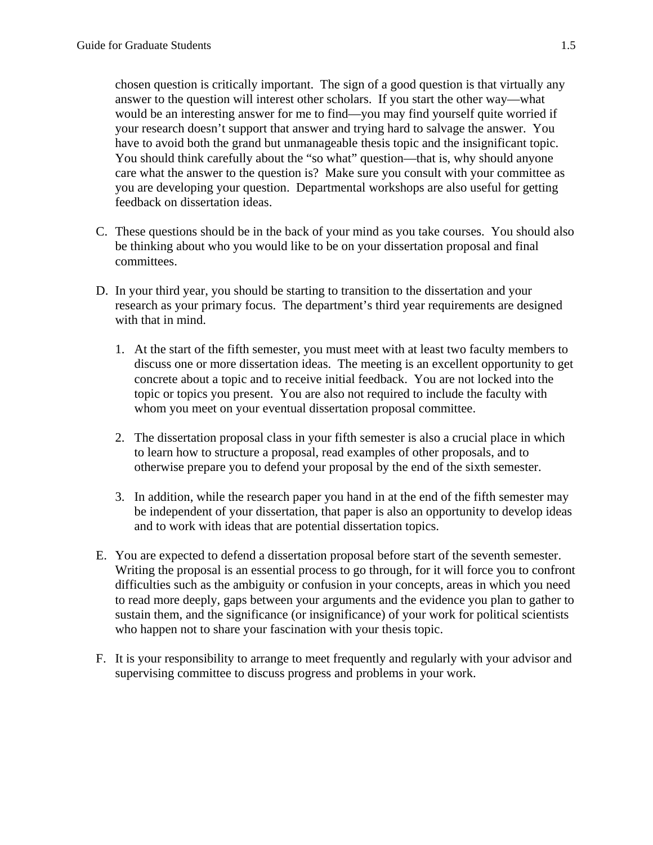chosen question is critically important. The sign of a good question is that virtually any answer to the question will interest other scholars. If you start the other way—what would be an interesting answer for me to find—you may find yourself quite worried if your research doesn't support that answer and trying hard to salvage the answer. You have to avoid both the grand but unmanageable thesis topic and the insignificant topic. You should think carefully about the "so what" question—that is, why should anyone care what the answer to the question is? Make sure you consult with your committee as you are developing your question. Departmental workshops are also useful for getting feedback on dissertation ideas.

- C. These questions should be in the back of your mind as you take courses. You should also be thinking about who you would like to be on your dissertation proposal and final committees.
- D. In your third year, you should be starting to transition to the dissertation and your research as your primary focus. The department's third year requirements are designed with that in mind.
	- 1. At the start of the fifth semester, you must meet with at least two faculty members to discuss one or more dissertation ideas. The meeting is an excellent opportunity to get concrete about a topic and to receive initial feedback. You are not locked into the topic or topics you present. You are also not required to include the faculty with whom you meet on your eventual dissertation proposal committee.
	- 2. The dissertation proposal class in your fifth semester is also a crucial place in which to learn how to structure a proposal, read examples of other proposals, and to otherwise prepare you to defend your proposal by the end of the sixth semester.
	- 3. In addition, while the research paper you hand in at the end of the fifth semester may be independent of your dissertation, that paper is also an opportunity to develop ideas and to work with ideas that are potential dissertation topics.
- E. You are expected to defend a dissertation proposal before start of the seventh semester. Writing the proposal is an essential process to go through, for it will force you to confront difficulties such as the ambiguity or confusion in your concepts, areas in which you need to read more deeply, gaps between your arguments and the evidence you plan to gather to sustain them, and the significance (or insignificance) of your work for political scientists who happen not to share your fascination with your thesis topic.
- F. It is your responsibility to arrange to meet frequently and regularly with your advisor and supervising committee to discuss progress and problems in your work.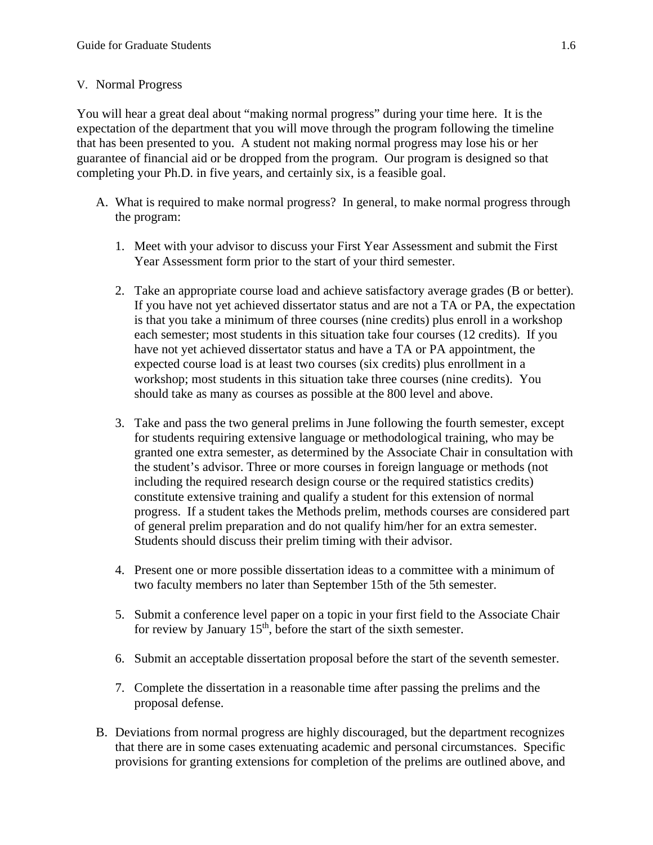#### V. Normal Progress

You will hear a great deal about "making normal progress" during your time here. It is the expectation of the department that you will move through the program following the timeline that has been presented to you. A student not making normal progress may lose his or her guarantee of financial aid or be dropped from the program. Our program is designed so that completing your Ph.D. in five years, and certainly six, is a feasible goal.

- A. What is required to make normal progress? In general, to make normal progress through the program:
	- 1. Meet with your advisor to discuss your First Year Assessment and submit the First Year Assessment form prior to the start of your third semester.
	- 2. Take an appropriate course load and achieve satisfactory average grades (B or better). If you have not yet achieved dissertator status and are not a TA or PA, the expectation is that you take a minimum of three courses (nine credits) plus enroll in a workshop each semester; most students in this situation take four courses (12 credits). If you have not yet achieved dissertator status and have a TA or PA appointment, the expected course load is at least two courses (six credits) plus enrollment in a workshop; most students in this situation take three courses (nine credits). You should take as many as courses as possible at the 800 level and above.
	- 3. Take and pass the two general prelims in June following the fourth semester, except for students requiring extensive language or methodological training, who may be granted one extra semester, as determined by the Associate Chair in consultation with the student's advisor. Three or more courses in foreign language or methods (not including the required research design course or the required statistics credits) constitute extensive training and qualify a student for this extension of normal progress. If a student takes the Methods prelim, methods courses are considered part of general prelim preparation and do not qualify him/her for an extra semester. Students should discuss their prelim timing with their advisor.
	- 4. Present one or more possible dissertation ideas to a committee with a minimum of two faculty members no later than September 15th of the 5th semester.
	- 5. Submit a conference level paper on a topic in your first field to the Associate Chair for review by January 15<sup>th</sup>, before the start of the sixth semester.
	- 6. Submit an acceptable dissertation proposal before the start of the seventh semester.
	- 7. Complete the dissertation in a reasonable time after passing the prelims and the proposal defense.
- B. Deviations from normal progress are highly discouraged, but the department recognizes that there are in some cases extenuating academic and personal circumstances. Specific provisions for granting extensions for completion of the prelims are outlined above, and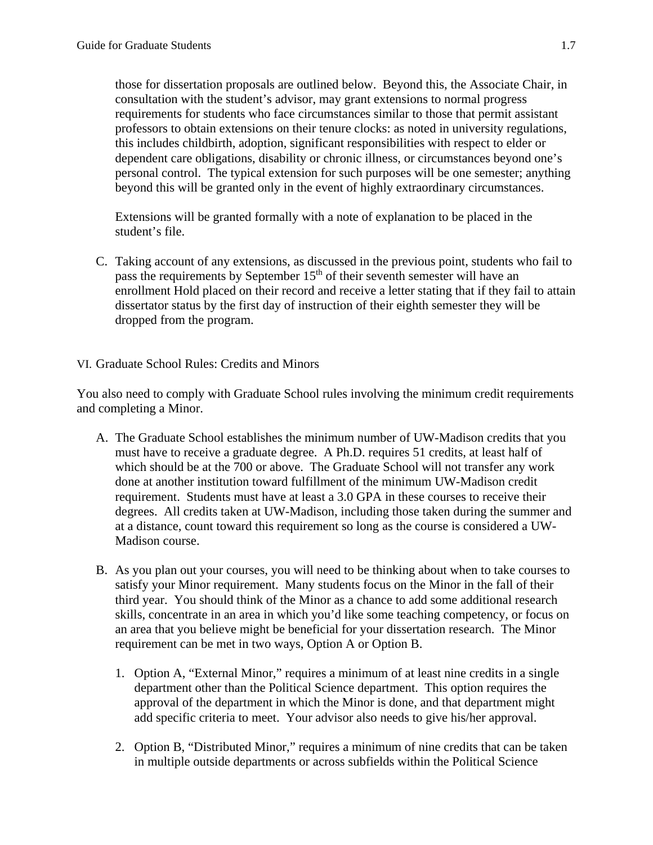those for dissertation proposals are outlined below. Beyond this, the Associate Chair, in consultation with the student's advisor, may grant extensions to normal progress requirements for students who face circumstances similar to those that permit assistant professors to obtain extensions on their tenure clocks: as noted in university regulations, this includes childbirth, adoption, significant responsibilities with respect to elder or dependent care obligations, disability or chronic illness, or circumstances beyond one's personal control. The typical extension for such purposes will be one semester; anything beyond this will be granted only in the event of highly extraordinary circumstances.

Extensions will be granted formally with a note of explanation to be placed in the student's file.

C. Taking account of any extensions, as discussed in the previous point, students who fail to pass the requirements by September 15<sup>th</sup> of their seventh semester will have an enrollment Hold placed on their record and receive a letter stating that if they fail to attain dissertator status by the first day of instruction of their eighth semester they will be dropped from the program.

# VI. Graduate School Rules: Credits and Minors

You also need to comply with Graduate School rules involving the minimum credit requirements and completing a Minor.

- A. The Graduate School establishes the minimum number of UW-Madison credits that you must have to receive a graduate degree. A Ph.D. requires 51 credits, at least half of which should be at the 700 or above. The Graduate School will not transfer any work done at another institution toward fulfillment of the minimum UW-Madison credit requirement. Students must have at least a 3.0 GPA in these courses to receive their degrees. All credits taken at UW-Madison, including those taken during the summer and at a distance, count toward this requirement so long as the course is considered a UW-Madison course.
- B. As you plan out your courses, you will need to be thinking about when to take courses to satisfy your Minor requirement. Many students focus on the Minor in the fall of their third year. You should think of the Minor as a chance to add some additional research skills, concentrate in an area in which you'd like some teaching competency, or focus on an area that you believe might be beneficial for your dissertation research. The Minor requirement can be met in two ways, Option A or Option B.
	- 1. Option A, "External Minor," requires a minimum of at least nine credits in a single department other than the Political Science department. This option requires the approval of the department in which the Minor is done, and that department might add specific criteria to meet. Your advisor also needs to give his/her approval.
	- 2. Option B, "Distributed Minor," requires a minimum of nine credits that can be taken in multiple outside departments or across subfields within the Political Science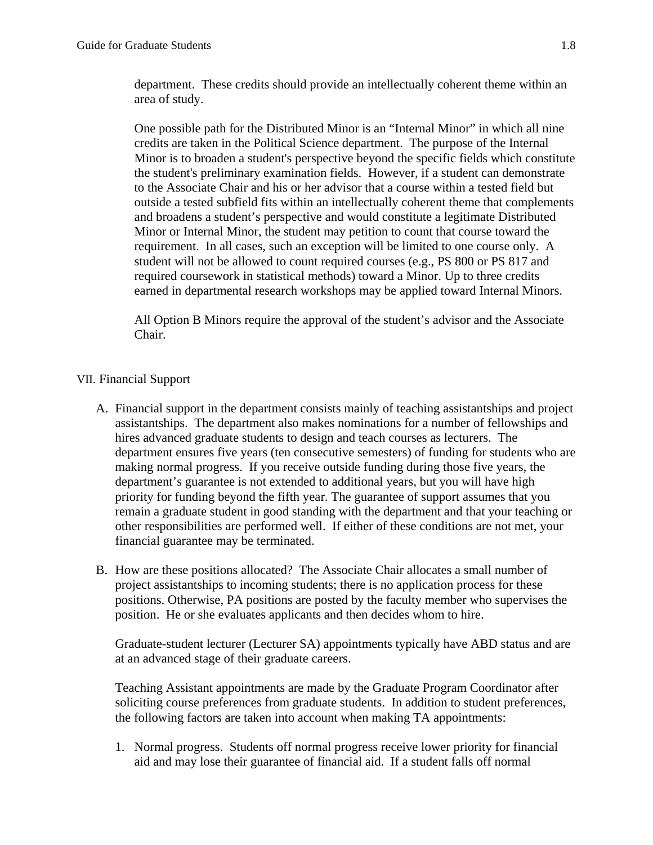department. These credits should provide an intellectually coherent theme within an area of study.

One possible path for the Distributed Minor is an "Internal Minor" in which all nine credits are taken in the Political Science department. The purpose of the Internal Minor is to broaden a student's perspective beyond the specific fields which constitute the student's preliminary examination fields. However, if a student can demonstrate to the Associate Chair and his or her advisor that a course within a tested field but outside a tested subfield fits within an intellectually coherent theme that complements and broadens a student's perspective and would constitute a legitimate Distributed Minor or Internal Minor, the student may petition to count that course toward the requirement. In all cases, such an exception will be limited to one course only. A student will not be allowed to count required courses (e.g., PS 800 or PS 817 and required coursework in statistical methods) toward a Minor. Up to three credits earned in departmental research workshops may be applied toward Internal Minors.

All Option B Minors require the approval of the student's advisor and the Associate Chair.

#### VII. Financial Support

- A. Financial support in the department consists mainly of teaching assistantships and project assistantships. The department also makes nominations for a number of fellowships and hires advanced graduate students to design and teach courses as lecturers. The department ensures five years (ten consecutive semesters) of funding for students who are making normal progress. If you receive outside funding during those five years, the department's guarantee is not extended to additional years, but you will have high priority for funding beyond the fifth year. The guarantee of support assumes that you remain a graduate student in good standing with the department and that your teaching or other responsibilities are performed well. If either of these conditions are not met, your financial guarantee may be terminated.
- B. How are these positions allocated? The Associate Chair allocates a small number of project assistantships to incoming students; there is no application process for these positions. Otherwise, PA positions are posted by the faculty member who supervises the position. He or she evaluates applicants and then decides whom to hire.

Graduate-student lecturer (Lecturer SA) appointments typically have ABD status and are at an advanced stage of their graduate careers.

Teaching Assistant appointments are made by the Graduate Program Coordinator after soliciting course preferences from graduate students. In addition to student preferences, the following factors are taken into account when making TA appointments:

1. Normal progress. Students off normal progress receive lower priority for financial aid and may lose their guarantee of financial aid. If a student falls off normal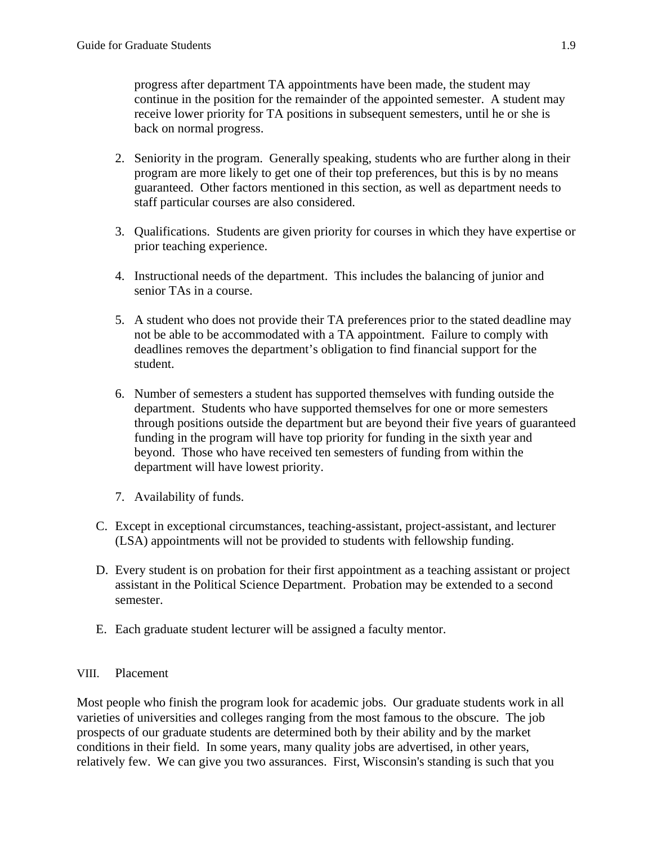progress after department TA appointments have been made, the student may continue in the position for the remainder of the appointed semester. A student may receive lower priority for TA positions in subsequent semesters, until he or she is back on normal progress.

- 2. Seniority in the program. Generally speaking, students who are further along in their program are more likely to get one of their top preferences, but this is by no means guaranteed. Other factors mentioned in this section, as well as department needs to staff particular courses are also considered.
- 3. Qualifications. Students are given priority for courses in which they have expertise or prior teaching experience.
- 4. Instructional needs of the department. This includes the balancing of junior and senior TAs in a course.
- 5. A student who does not provide their TA preferences prior to the stated deadline may not be able to be accommodated with a TA appointment. Failure to comply with deadlines removes the department's obligation to find financial support for the student.
- 6. Number of semesters a student has supported themselves with funding outside the department. Students who have supported themselves for one or more semesters through positions outside the department but are beyond their five years of guaranteed funding in the program will have top priority for funding in the sixth year and beyond. Those who have received ten semesters of funding from within the department will have lowest priority.
- 7. Availability of funds.
- C. Except in exceptional circumstances, teaching-assistant, project-assistant, and lecturer (LSA) appointments will not be provided to students with fellowship funding.
- D. Every student is on probation for their first appointment as a teaching assistant or project assistant in the Political Science Department. Probation may be extended to a second semester.
- E. Each graduate student lecturer will be assigned a faculty mentor.

# VIII. Placement

Most people who finish the program look for academic jobs. Our graduate students work in all varieties of universities and colleges ranging from the most famous to the obscure. The job prospects of our graduate students are determined both by their ability and by the market conditions in their field. In some years, many quality jobs are advertised, in other years, relatively few. We can give you two assurances. First, Wisconsin's standing is such that you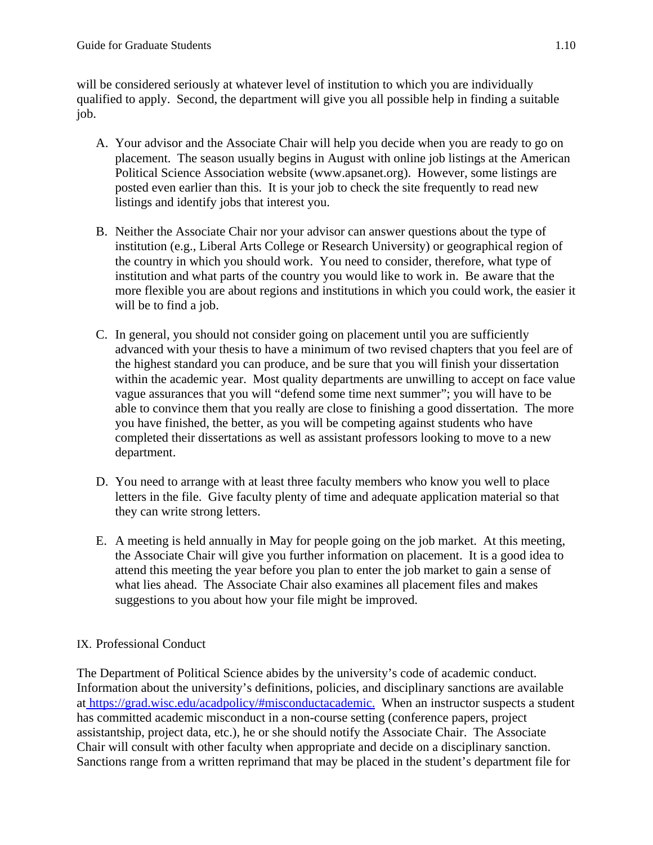will be considered seriously at whatever level of institution to which you are individually qualified to apply. Second, the department will give you all possible help in finding a suitable job.

- A. Your advisor and the Associate Chair will help you decide when you are ready to go on placement. The season usually begins in August with online job listings at the American Political Science Association website (www.apsanet.org). However, some listings are posted even earlier than this. It is your job to check the site frequently to read new listings and identify jobs that interest you.
- B. Neither the Associate Chair nor your advisor can answer questions about the type of institution (e.g., Liberal Arts College or Research University) or geographical region of the country in which you should work. You need to consider, therefore, what type of institution and what parts of the country you would like to work in. Be aware that the more flexible you are about regions and institutions in which you could work, the easier it will be to find a job.
- C. In general, you should not consider going on placement until you are sufficiently advanced with your thesis to have a minimum of two revised chapters that you feel are of the highest standard you can produce, and be sure that you will finish your dissertation within the academic year. Most quality departments are unwilling to accept on face value vague assurances that you will "defend some time next summer"; you will have to be able to convince them that you really are close to finishing a good dissertation. The more you have finished, the better, as you will be competing against students who have completed their dissertations as well as assistant professors looking to move to a new department.
- D. You need to arrange with at least three faculty members who know you well to place letters in the file. Give faculty plenty of time and adequate application material so that they can write strong letters.
- E. A meeting is held annually in May for people going on the job market. At this meeting, the Associate Chair will give you further information on placement. It is a good idea to attend this meeting the year before you plan to enter the job market to gain a sense of what lies ahead. The Associate Chair also examines all placement files and makes suggestions to you about how your file might be improved.

# IX. Professional Conduct

The Department of Political Science abides by the university's code of academic conduct. Information about the university's definitions, policies, and disciplinary sanctions are available at https://grad.wisc.edu/acadpolicy/#misconductacademic. When an instructor suspects a student has committed academic misconduct in a non-course setting (conference papers, project assistantship, project data, etc.), he or she should notify the Associate Chair. The Associate Chair will consult with other faculty when appropriate and decide on a disciplinary sanction. Sanctions range from a written reprimand that may be placed in the student's department file for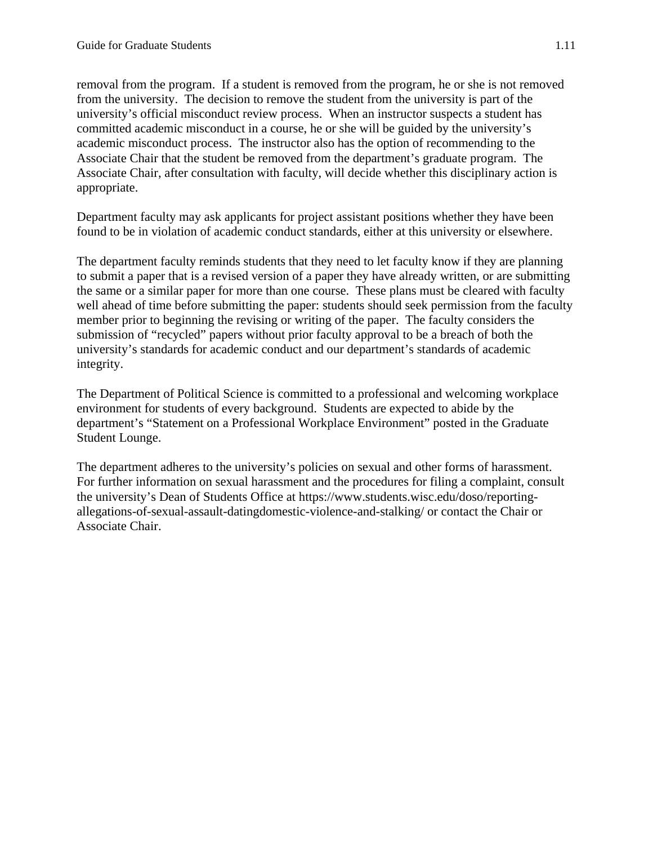removal from the program. If a student is removed from the program, he or she is not removed from the university. The decision to remove the student from the university is part of the university's official misconduct review process. When an instructor suspects a student has committed academic misconduct in a course, he or she will be guided by the university's academic misconduct process. The instructor also has the option of recommending to the Associate Chair that the student be removed from the department's graduate program. The Associate Chair, after consultation with faculty, will decide whether this disciplinary action is appropriate.

Department faculty may ask applicants for project assistant positions whether they have been found to be in violation of academic conduct standards, either at this university or elsewhere.

The department faculty reminds students that they need to let faculty know if they are planning to submit a paper that is a revised version of a paper they have already written, or are submitting the same or a similar paper for more than one course. These plans must be cleared with faculty well ahead of time before submitting the paper: students should seek permission from the faculty member prior to beginning the revising or writing of the paper. The faculty considers the submission of "recycled" papers without prior faculty approval to be a breach of both the university's standards for academic conduct and our department's standards of academic integrity.

The Department of Political Science is committed to a professional and welcoming workplace environment for students of every background. Students are expected to abide by the department's "Statement on a Professional Workplace Environment" posted in the Graduate Student Lounge.

The department adheres to the university's policies on sexual and other forms of harassment. For further information on sexual harassment and the procedures for filing a complaint, consult the university's Dean of Students Office at https://www.students.wisc.edu/doso/reportingallegations-of-sexual-assault-datingdomestic-violence-and-stalking/ or contact the Chair or Associate Chair.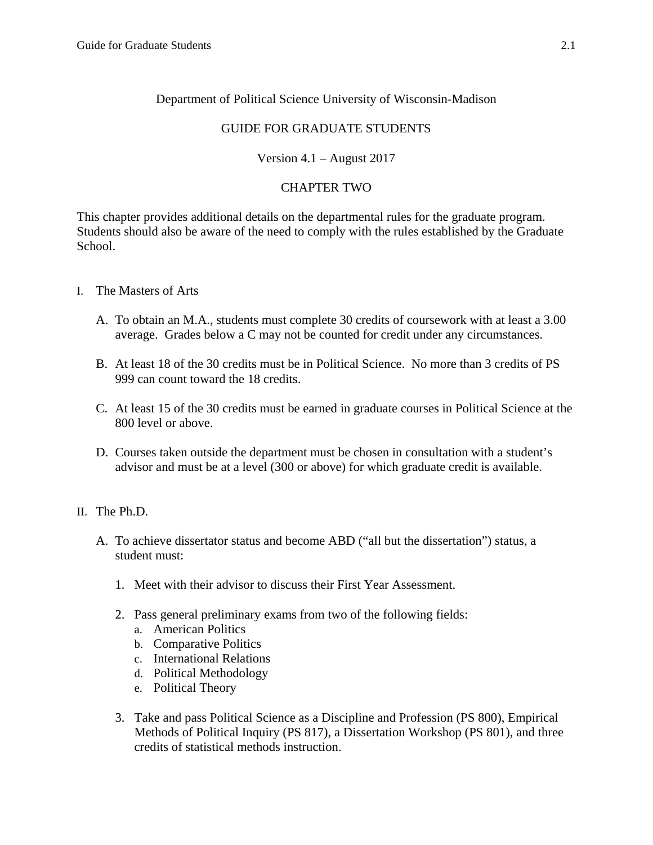# Department of Political Science University of Wisconsin-Madison

# GUIDE FOR GRADUATE STUDENTS

# Version 4.1 – August 2017

# CHAPTER TWO

This chapter provides additional details on the departmental rules for the graduate program. Students should also be aware of the need to comply with the rules established by the Graduate School.

- I. The Masters of Arts
	- A. To obtain an M.A., students must complete 30 credits of coursework with at least a 3.00 average. Grades below a C may not be counted for credit under any circumstances.
	- B. At least 18 of the 30 credits must be in Political Science. No more than 3 credits of PS 999 can count toward the 18 credits.
	- C. At least 15 of the 30 credits must be earned in graduate courses in Political Science at the 800 level or above.
	- D. Courses taken outside the department must be chosen in consultation with a student's advisor and must be at a level (300 or above) for which graduate credit is available.
- II. The Ph.D.
	- A. To achieve dissertator status and become ABD ("all but the dissertation") status, a student must:
		- 1. Meet with their advisor to discuss their First Year Assessment.
		- 2. Pass general preliminary exams from two of the following fields:
			- a. American Politics
			- b. Comparative Politics
			- c. International Relations
			- d. Political Methodology
			- e. Political Theory
		- 3. Take and pass Political Science as a Discipline and Profession (PS 800), Empirical Methods of Political Inquiry (PS 817), a Dissertation Workshop (PS 801), and three credits of statistical methods instruction.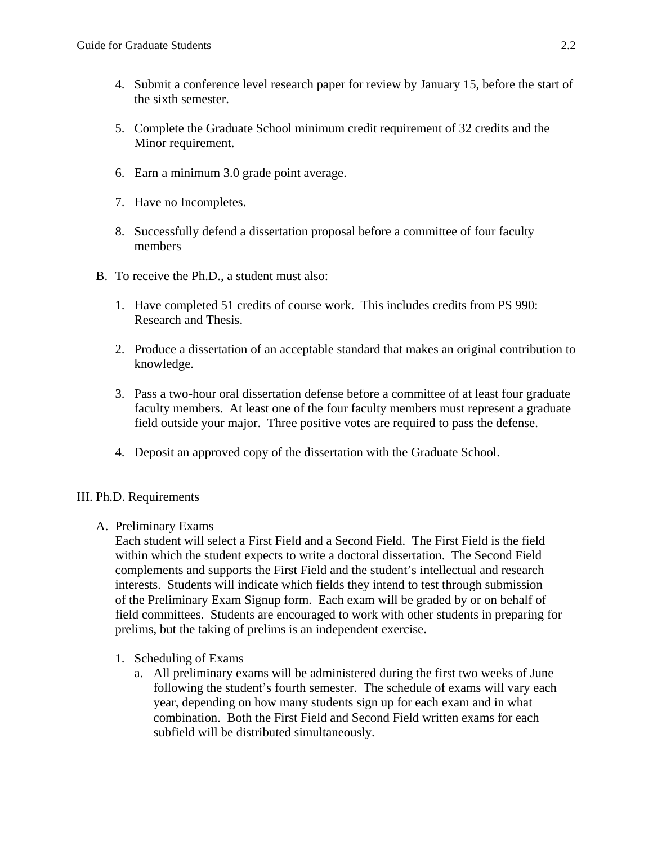- 4. Submit a conference level research paper for review by January 15, before the start of the sixth semester.
- 5. Complete the Graduate School minimum credit requirement of 32 credits and the Minor requirement.
- 6. Earn a minimum 3.0 grade point average.
- 7. Have no Incompletes.
- 8. Successfully defend a dissertation proposal before a committee of four faculty members
- B. To receive the Ph.D., a student must also:
	- 1. Have completed 51 credits of course work. This includes credits from PS 990: Research and Thesis.
	- 2. Produce a dissertation of an acceptable standard that makes an original contribution to knowledge.
	- 3. Pass a two-hour oral dissertation defense before a committee of at least four graduate faculty members. At least one of the four faculty members must represent a graduate field outside your major. Three positive votes are required to pass the defense.
	- 4. Deposit an approved copy of the dissertation with the Graduate School.

# III. Ph.D. Requirements

A. Preliminary Exams

Each student will select a First Field and a Second Field. The First Field is the field within which the student expects to write a doctoral dissertation. The Second Field complements and supports the First Field and the student's intellectual and research interests. Students will indicate which fields they intend to test through submission of the Preliminary Exam Signup form. Each exam will be graded by or on behalf of field committees. Students are encouraged to work with other students in preparing for prelims, but the taking of prelims is an independent exercise.

- 1. Scheduling of Exams
	- a. All preliminary exams will be administered during the first two weeks of June following the student's fourth semester. The schedule of exams will vary each year, depending on how many students sign up for each exam and in what combination. Both the First Field and Second Field written exams for each subfield will be distributed simultaneously.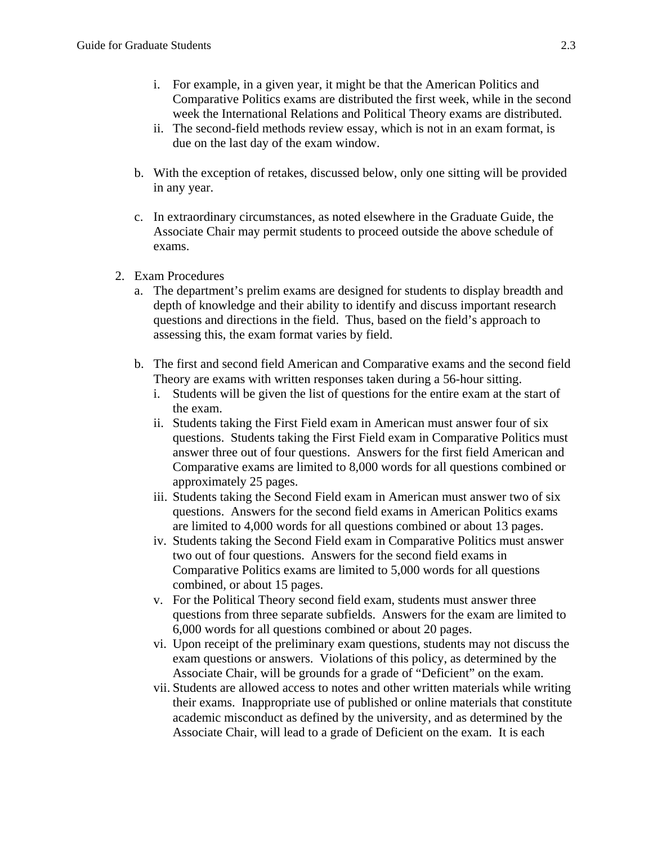- i. For example, in a given year, it might be that the American Politics and Comparative Politics exams are distributed the first week, while in the second week the International Relations and Political Theory exams are distributed.
- ii. The second-field methods review essay, which is not in an exam format, is due on the last day of the exam window.
- b. With the exception of retakes, discussed below, only one sitting will be provided in any year.
- c. In extraordinary circumstances, as noted elsewhere in the Graduate Guide, the Associate Chair may permit students to proceed outside the above schedule of exams.
- 2. Exam Procedures
	- a. The department's prelim exams are designed for students to display breadth and depth of knowledge and their ability to identify and discuss important research questions and directions in the field. Thus, based on the field's approach to assessing this, the exam format varies by field.
	- b. The first and second field American and Comparative exams and the second field Theory are exams with written responses taken during a 56-hour sitting.
		- i. Students will be given the list of questions for the entire exam at the start of the exam.
		- ii. Students taking the First Field exam in American must answer four of six questions. Students taking the First Field exam in Comparative Politics must answer three out of four questions. Answers for the first field American and Comparative exams are limited to 8,000 words for all questions combined or approximately 25 pages.
		- iii. Students taking the Second Field exam in American must answer two of six questions. Answers for the second field exams in American Politics exams are limited to 4,000 words for all questions combined or about 13 pages.
		- iv. Students taking the Second Field exam in Comparative Politics must answer two out of four questions. Answers for the second field exams in Comparative Politics exams are limited to 5,000 words for all questions combined, or about 15 pages.
		- v. For the Political Theory second field exam, students must answer three questions from three separate subfields. Answers for the exam are limited to 6,000 words for all questions combined or about 20 pages.
		- vi. Upon receipt of the preliminary exam questions, students may not discuss the exam questions or answers. Violations of this policy, as determined by the Associate Chair, will be grounds for a grade of "Deficient" on the exam.
		- vii. Students are allowed access to notes and other written materials while writing their exams. Inappropriate use of published or online materials that constitute academic misconduct as defined by the university, and as determined by the Associate Chair, will lead to a grade of Deficient on the exam. It is each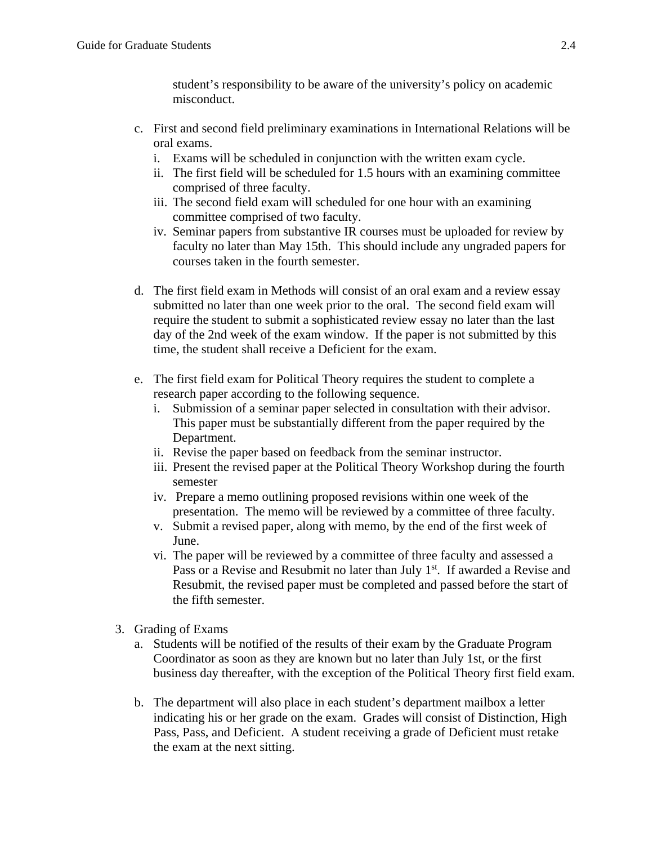student's responsibility to be aware of the university's policy on academic misconduct.

- c. First and second field preliminary examinations in International Relations will be oral exams.
	- i. Exams will be scheduled in conjunction with the written exam cycle.
	- ii. The first field will be scheduled for 1.5 hours with an examining committee comprised of three faculty.
	- iii. The second field exam will scheduled for one hour with an examining committee comprised of two faculty.
	- iv. Seminar papers from substantive IR courses must be uploaded for review by faculty no later than May 15th. This should include any ungraded papers for courses taken in the fourth semester.
- d. The first field exam in Methods will consist of an oral exam and a review essay submitted no later than one week prior to the oral. The second field exam will require the student to submit a sophisticated review essay no later than the last day of the 2nd week of the exam window. If the paper is not submitted by this time, the student shall receive a Deficient for the exam.
- e. The first field exam for Political Theory requires the student to complete a research paper according to the following sequence.
	- i. Submission of a seminar paper selected in consultation with their advisor. This paper must be substantially different from the paper required by the Department.
	- ii. Revise the paper based on feedback from the seminar instructor.
	- iii. Present the revised paper at the Political Theory Workshop during the fourth semester
	- iv. Prepare a memo outlining proposed revisions within one week of the presentation. The memo will be reviewed by a committee of three faculty.
	- v. Submit a revised paper, along with memo, by the end of the first week of June.
	- vi. The paper will be reviewed by a committee of three faculty and assessed a Pass or a Revise and Resubmit no later than July 1<sup>st</sup>. If awarded a Revise and Resubmit, the revised paper must be completed and passed before the start of the fifth semester.
- 3. Grading of Exams
	- a. Students will be notified of the results of their exam by the Graduate Program Coordinator as soon as they are known but no later than July 1st, or the first business day thereafter, with the exception of the Political Theory first field exam.
	- b. The department will also place in each student's department mailbox a letter indicating his or her grade on the exam. Grades will consist of Distinction, High Pass, Pass, and Deficient. A student receiving a grade of Deficient must retake the exam at the next sitting.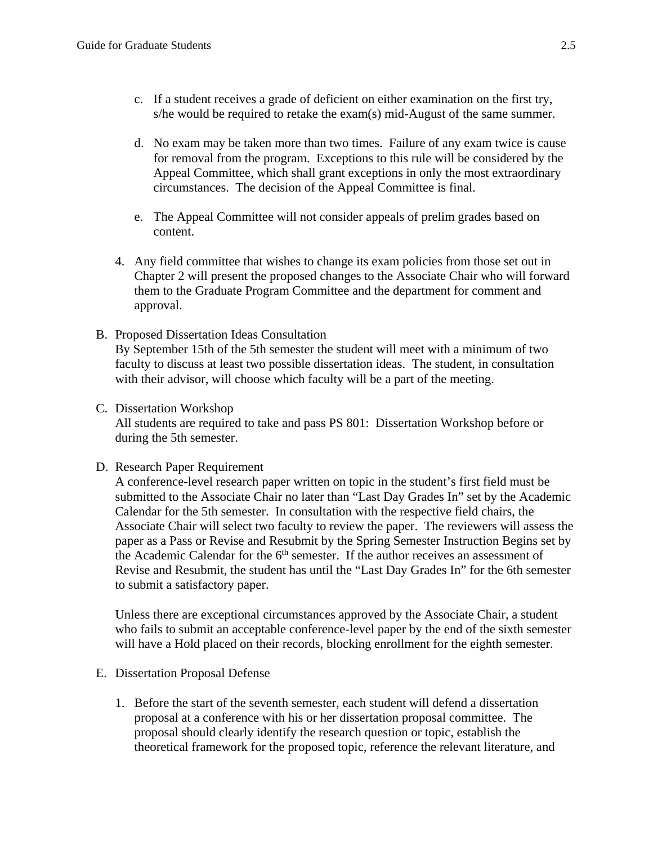- c. If a student receives a grade of deficient on either examination on the first try, s/he would be required to retake the exam(s) mid-August of the same summer.
- d. No exam may be taken more than two times. Failure of any exam twice is cause for removal from the program. Exceptions to this rule will be considered by the Appeal Committee, which shall grant exceptions in only the most extraordinary circumstances. The decision of the Appeal Committee is final.
- e. The Appeal Committee will not consider appeals of prelim grades based on content.
- 4. Any field committee that wishes to change its exam policies from those set out in Chapter 2 will present the proposed changes to the Associate Chair who will forward them to the Graduate Program Committee and the department for comment and approval.
- B. Proposed Dissertation Ideas Consultation By September 15th of the 5th semester the student will meet with a minimum of two faculty to discuss at least two possible dissertation ideas. The student, in consultation with their advisor, will choose which faculty will be a part of the meeting.

#### C. Dissertation Workshop

All students are required to take and pass PS 801: Dissertation Workshop before or during the 5th semester.

#### D. Research Paper Requirement

A conference-level research paper written on topic in the student's first field must be submitted to the Associate Chair no later than "Last Day Grades In" set by the Academic Calendar for the 5th semester. In consultation with the respective field chairs, the Associate Chair will select two faculty to review the paper. The reviewers will assess the paper as a Pass or Revise and Resubmit by the Spring Semester Instruction Begins set by the Academic Calendar for the  $6<sup>th</sup>$  semester. If the author receives an assessment of Revise and Resubmit, the student has until the "Last Day Grades In" for the 6th semester to submit a satisfactory paper.

Unless there are exceptional circumstances approved by the Associate Chair, a student who fails to submit an acceptable conference-level paper by the end of the sixth semester will have a Hold placed on their records, blocking enrollment for the eighth semester.

- E. Dissertation Proposal Defense
	- 1. Before the start of the seventh semester, each student will defend a dissertation proposal at a conference with his or her dissertation proposal committee. The proposal should clearly identify the research question or topic, establish the theoretical framework for the proposed topic, reference the relevant literature, and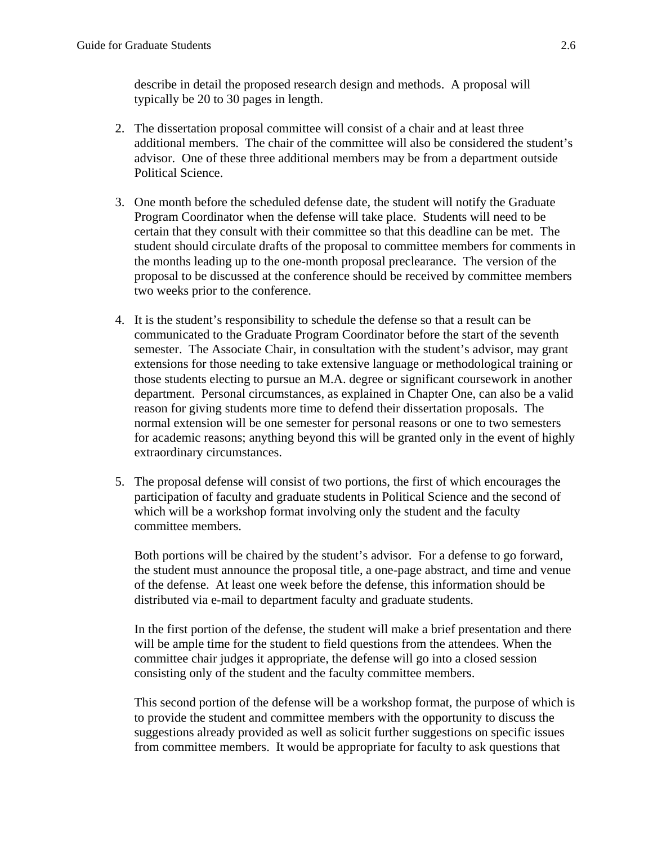describe in detail the proposed research design and methods. A proposal will typically be 20 to 30 pages in length.

- 2. The dissertation proposal committee will consist of a chair and at least three additional members. The chair of the committee will also be considered the student's advisor. One of these three additional members may be from a department outside Political Science.
- 3. One month before the scheduled defense date, the student will notify the Graduate Program Coordinator when the defense will take place. Students will need to be certain that they consult with their committee so that this deadline can be met. The student should circulate drafts of the proposal to committee members for comments in the months leading up to the one-month proposal preclearance. The version of the proposal to be discussed at the conference should be received by committee members two weeks prior to the conference.
- 4. It is the student's responsibility to schedule the defense so that a result can be communicated to the Graduate Program Coordinator before the start of the seventh semester. The Associate Chair, in consultation with the student's advisor, may grant extensions for those needing to take extensive language or methodological training or those students electing to pursue an M.A. degree or significant coursework in another department. Personal circumstances, as explained in Chapter One, can also be a valid reason for giving students more time to defend their dissertation proposals. The normal extension will be one semester for personal reasons or one to two semesters for academic reasons; anything beyond this will be granted only in the event of highly extraordinary circumstances.
- 5. The proposal defense will consist of two portions, the first of which encourages the participation of faculty and graduate students in Political Science and the second of which will be a workshop format involving only the student and the faculty committee members.

Both portions will be chaired by the student's advisor. For a defense to go forward, the student must announce the proposal title, a one-page abstract, and time and venue of the defense. At least one week before the defense, this information should be distributed via e-mail to department faculty and graduate students.

In the first portion of the defense, the student will make a brief presentation and there will be ample time for the student to field questions from the attendees. When the committee chair judges it appropriate, the defense will go into a closed session consisting only of the student and the faculty committee members.

This second portion of the defense will be a workshop format, the purpose of which is to provide the student and committee members with the opportunity to discuss the suggestions already provided as well as solicit further suggestions on specific issues from committee members. It would be appropriate for faculty to ask questions that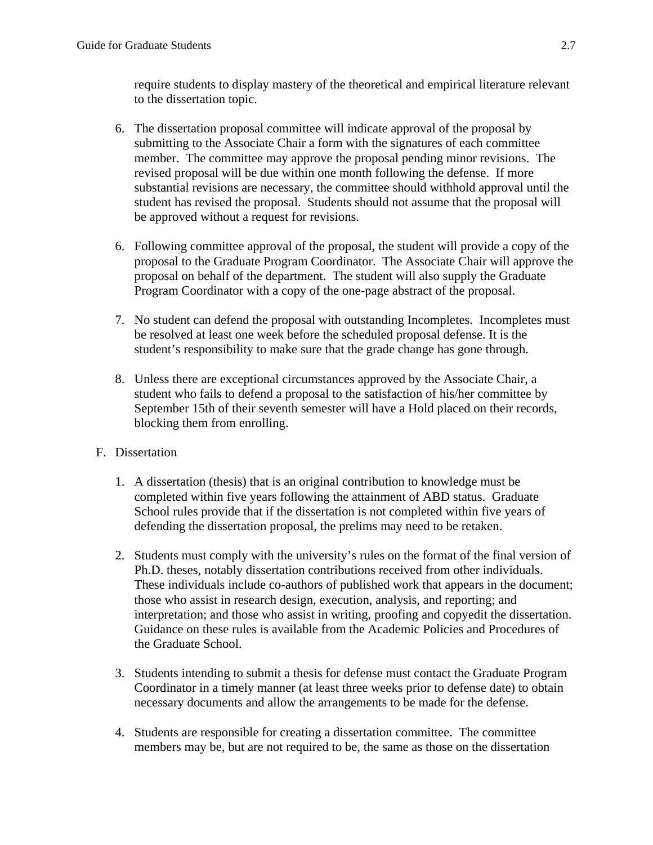require students to display mastery of the theoretical and empirical literature relevant to the dissertation topic.

- 6. The dissertation proposal committee will indicate approval of the proposal by submitting to the Associate Chair a form with the signatures of each committee member. The committee may approve the proposal pending minor revisions. The revised proposal will be due within one month following the defense. If more substantial revisions are necessary, the committee should withhold approval until the student has revised the proposal. Students should not assume that the proposal will be approved without a request for revisions.
- 6. Following committee approval of the proposal, the student will provide a copy of the proposal to the Graduate Program Coordinator. The Associate Chair will approve the proposal on behalf of the department. The student will also supply the Graduate Program Coordinator with a copy of the one-page abstract of the proposal.
- 7. No student can defend the proposal with outstanding Incompletes. Incompletes must be resolved at least one week before the scheduled proposal defense. It is the student's responsibility to make sure that the grade change has gone through.
- 8. Unless there are exceptional circumstances approved by the Associate Chair, a student who fails to defend a proposal to the satisfaction of his/her committee by September 15th of their seventh semester will have a Hold placed on their records, blocking them from enrolling.

# F. Dissertation

- 1. A dissertation (thesis) that is an original contribution to knowledge must be completed within five years following the attainment of ABD status. Graduate School rules provide that if the dissertation is not completed within five years of defending the dissertation proposal, the prelims may need to be retaken.
- 2. Students must comply with the university's rules on the format of the final version of Ph.D. theses, notably dissertation contributions received from other individuals. These individuals include co-authors of published work that appears in the document; those who assist in research design, execution, analysis, and reporting; and interpretation; and those who assist in writing, proofing and copyedit the dissertation. Guidance on these rules is available from the Academic Policies and Procedures of the Graduate School.
- 3. Students intending to submit a thesis for defense must contact the Graduate Program Coordinator in a timely manner (at least three weeks prior to defense date) to obtain necessary documents and allow the arrangements to be made for the defense.
- 4. Students are responsible for creating a dissertation committee. The committee members may be, but are not required to be, the same as those on the dissertation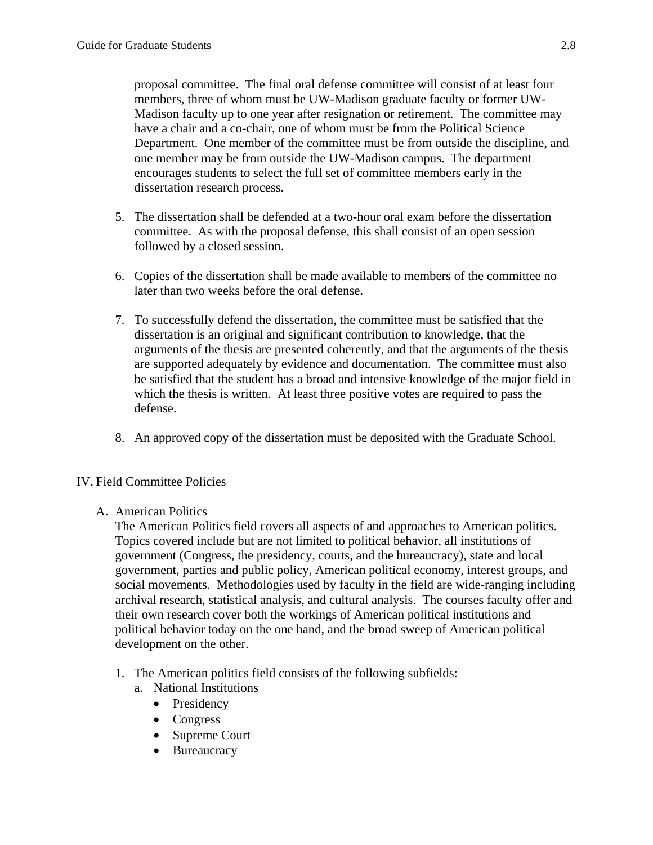proposal committee. The final oral defense committee will consist of at least four members, three of whom must be UW-Madison graduate faculty or former UW-Madison faculty up to one year after resignation or retirement. The committee may have a chair and a co-chair, one of whom must be from the Political Science Department. One member of the committee must be from outside the discipline, and one member may be from outside the UW-Madison campus. The department encourages students to select the full set of committee members early in the dissertation research process.

- 5. The dissertation shall be defended at a two-hour oral exam before the dissertation committee. As with the proposal defense, this shall consist of an open session followed by a closed session.
- 6. Copies of the dissertation shall be made available to members of the committee no later than two weeks before the oral defense.
- 7. To successfully defend the dissertation, the committee must be satisfied that the dissertation is an original and significant contribution to knowledge, that the arguments of the thesis are presented coherently, and that the arguments of the thesis are supported adequately by evidence and documentation. The committee must also be satisfied that the student has a broad and intensive knowledge of the major field in which the thesis is written. At least three positive votes are required to pass the defense.
- 8. An approved copy of the dissertation must be deposited with the Graduate School.

# IV. Field Committee Policies

# A. American Politics

The American Politics field covers all aspects of and approaches to American politics. Topics covered include but are not limited to political behavior, all institutions of government (Congress, the presidency, courts, and the bureaucracy), state and local government, parties and public policy, American political economy, interest groups, and social movements. Methodologies used by faculty in the field are wide-ranging including archival research, statistical analysis, and cultural analysis. The courses faculty offer and their own research cover both the workings of American political institutions and political behavior today on the one hand, and the broad sweep of American political development on the other.

- 1. The American politics field consists of the following subfields:
	- a. National Institutions
		- Presidency
		- Congress
		- Supreme Court
		- Bureaucracy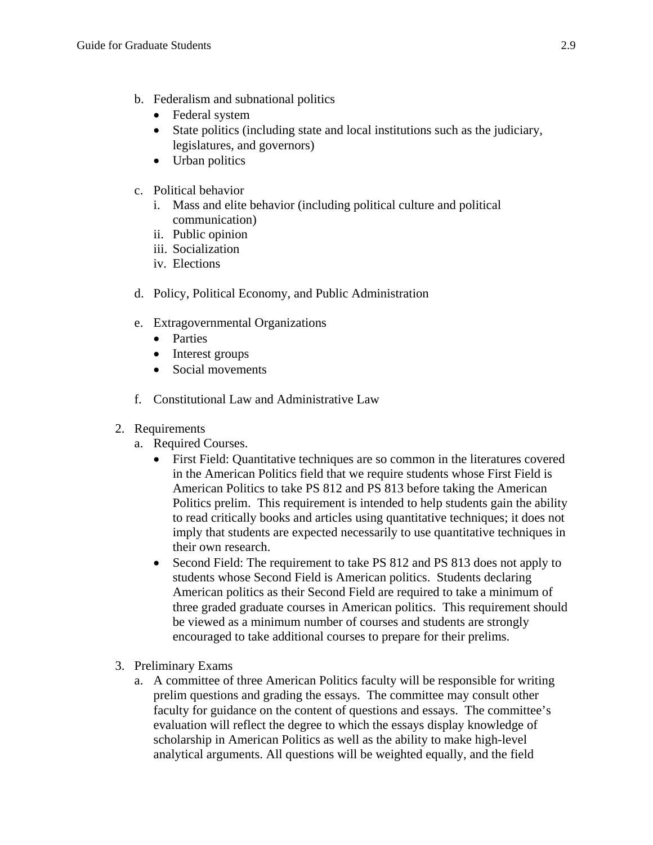- b. Federalism and subnational politics
	- Federal system
	- State politics (including state and local institutions such as the judiciary, legislatures, and governors)
	- Urban politics
- c. Political behavior
	- i. Mass and elite behavior (including political culture and political communication)
	- ii. Public opinion
	- iii. Socialization
	- iv. Elections
- d. Policy, Political Economy, and Public Administration
- e. Extragovernmental Organizations
	- Parties
	- Interest groups
	- Social movements
- f. Constitutional Law and Administrative Law
- 2. Requirements
	- a. Required Courses.
		- First Field: Quantitative techniques are so common in the literatures covered in the American Politics field that we require students whose First Field is American Politics to take PS 812 and PS 813 before taking the American Politics prelim. This requirement is intended to help students gain the ability to read critically books and articles using quantitative techniques; it does not imply that students are expected necessarily to use quantitative techniques in their own research.
		- Second Field: The requirement to take PS 812 and PS 813 does not apply to students whose Second Field is American politics. Students declaring American politics as their Second Field are required to take a minimum of three graded graduate courses in American politics. This requirement should be viewed as a minimum number of courses and students are strongly encouraged to take additional courses to prepare for their prelims.
- 3. Preliminary Exams
	- a. A committee of three American Politics faculty will be responsible for writing prelim questions and grading the essays. The committee may consult other faculty for guidance on the content of questions and essays. The committee's evaluation will reflect the degree to which the essays display knowledge of scholarship in American Politics as well as the ability to make high-level analytical arguments. All questions will be weighted equally, and the field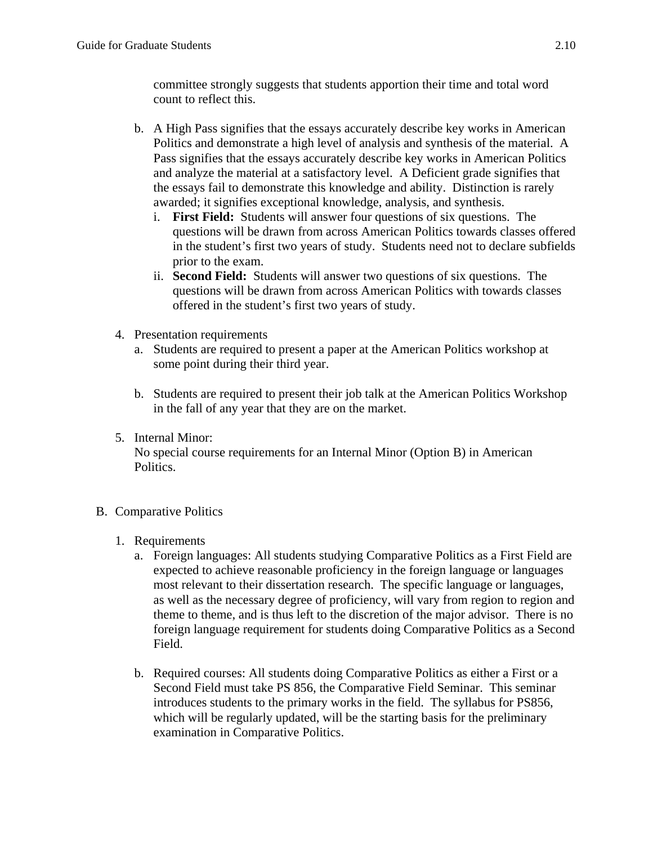committee strongly suggests that students apportion their time and total word count to reflect this.

- b. A High Pass signifies that the essays accurately describe key works in American Politics and demonstrate a high level of analysis and synthesis of the material. A Pass signifies that the essays accurately describe key works in American Politics and analyze the material at a satisfactory level. A Deficient grade signifies that the essays fail to demonstrate this knowledge and ability. Distinction is rarely awarded; it signifies exceptional knowledge, analysis, and synthesis.
	- i. **First Field:** Students will answer four questions of six questions. The questions will be drawn from across American Politics towards classes offered in the student's first two years of study. Students need not to declare subfields prior to the exam.
	- ii. **Second Field:** Students will answer two questions of six questions. The questions will be drawn from across American Politics with towards classes offered in the student's first two years of study.
- 4. Presentation requirements
	- a. Students are required to present a paper at the American Politics workshop at some point during their third year.
	- b. Students are required to present their job talk at the American Politics Workshop in the fall of any year that they are on the market.
- 5. Internal Minor:

No special course requirements for an Internal Minor (Option B) in American Politics.

- B. Comparative Politics
	- 1. Requirements
		- a. Foreign languages: All students studying Comparative Politics as a First Field are expected to achieve reasonable proficiency in the foreign language or languages most relevant to their dissertation research. The specific language or languages, as well as the necessary degree of proficiency, will vary from region to region and theme to theme, and is thus left to the discretion of the major advisor. There is no foreign language requirement for students doing Comparative Politics as a Second Field.
		- b. Required courses: All students doing Comparative Politics as either a First or a Second Field must take PS 856, the Comparative Field Seminar. This seminar introduces students to the primary works in the field. The syllabus for PS856, which will be regularly updated, will be the starting basis for the preliminary examination in Comparative Politics.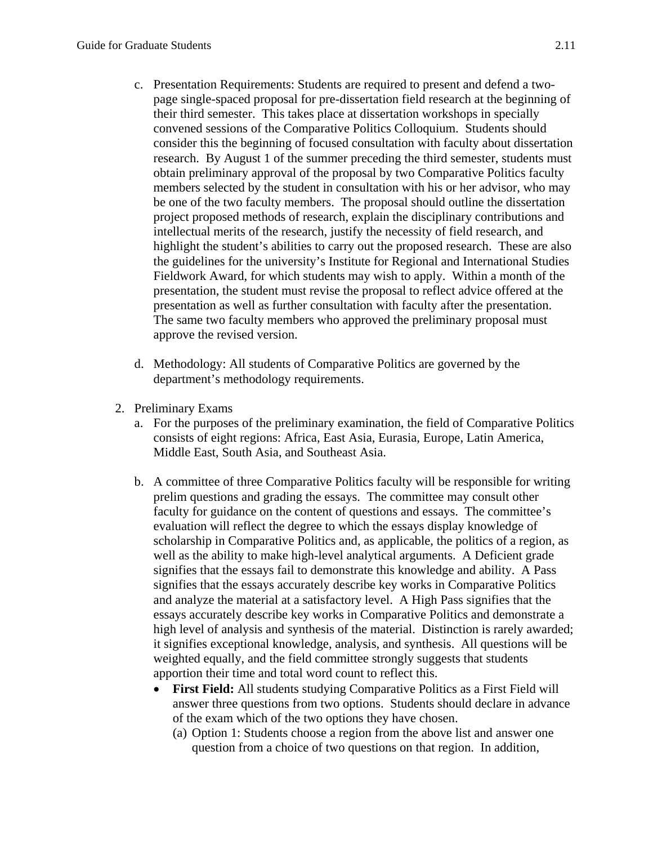- c. Presentation Requirements: Students are required to present and defend a twopage single-spaced proposal for pre-dissertation field research at the beginning of their third semester. This takes place at dissertation workshops in specially convened sessions of the Comparative Politics Colloquium. Students should consider this the beginning of focused consultation with faculty about dissertation research. By August 1 of the summer preceding the third semester, students must obtain preliminary approval of the proposal by two Comparative Politics faculty members selected by the student in consultation with his or her advisor, who may be one of the two faculty members. The proposal should outline the dissertation project proposed methods of research, explain the disciplinary contributions and intellectual merits of the research, justify the necessity of field research, and highlight the student's abilities to carry out the proposed research. These are also the guidelines for the university's Institute for Regional and International Studies Fieldwork Award, for which students may wish to apply. Within a month of the presentation, the student must revise the proposal to reflect advice offered at the presentation as well as further consultation with faculty after the presentation. The same two faculty members who approved the preliminary proposal must approve the revised version.
- d. Methodology: All students of Comparative Politics are governed by the department's methodology requirements.
- 2. Preliminary Exams
	- a. For the purposes of the preliminary examination, the field of Comparative Politics consists of eight regions: Africa, East Asia, Eurasia, Europe, Latin America, Middle East, South Asia, and Southeast Asia.
	- b. A committee of three Comparative Politics faculty will be responsible for writing prelim questions and grading the essays. The committee may consult other faculty for guidance on the content of questions and essays. The committee's evaluation will reflect the degree to which the essays display knowledge of scholarship in Comparative Politics and, as applicable, the politics of a region, as well as the ability to make high-level analytical arguments. A Deficient grade signifies that the essays fail to demonstrate this knowledge and ability. A Pass signifies that the essays accurately describe key works in Comparative Politics and analyze the material at a satisfactory level. A High Pass signifies that the essays accurately describe key works in Comparative Politics and demonstrate a high level of analysis and synthesis of the material. Distinction is rarely awarded; it signifies exceptional knowledge, analysis, and synthesis. All questions will be weighted equally, and the field committee strongly suggests that students apportion their time and total word count to reflect this.
		- **First Field:** All students studying Comparative Politics as a First Field will answer three questions from two options. Students should declare in advance of the exam which of the two options they have chosen.
			- (a) Option 1: Students choose a region from the above list and answer one question from a choice of two questions on that region. In addition,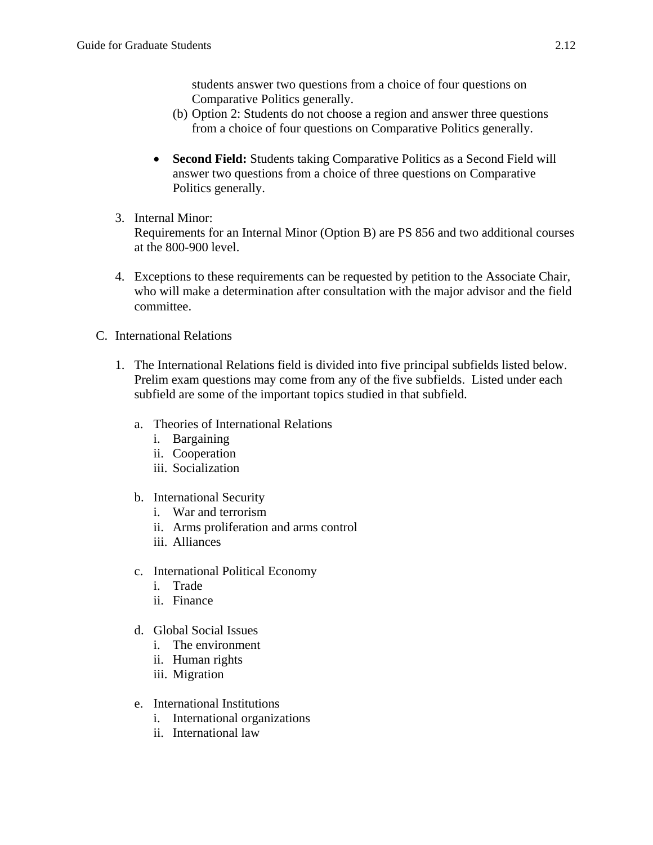students answer two questions from a choice of four questions on Comparative Politics generally.

- (b) Option 2: Students do not choose a region and answer three questions from a choice of four questions on Comparative Politics generally.
- **Second Field:** Students taking Comparative Politics as a Second Field will answer two questions from a choice of three questions on Comparative Politics generally.
- 3. Internal Minor:

Requirements for an Internal Minor (Option B) are PS 856 and two additional courses at the 800-900 level.

- 4. Exceptions to these requirements can be requested by petition to the Associate Chair, who will make a determination after consultation with the major advisor and the field committee.
- C. International Relations
	- 1. The International Relations field is divided into five principal subfields listed below. Prelim exam questions may come from any of the five subfields. Listed under each subfield are some of the important topics studied in that subfield.
		- a. Theories of International Relations
			- i. Bargaining
			- ii. Cooperation
			- iii. Socialization
		- b. International Security
			- i. War and terrorism
			- ii. Arms proliferation and arms control
			- iii. Alliances
		- c. International Political Economy
			- i. Trade
			- ii. Finance
		- d. Global Social Issues
			- i. The environment
			- ii. Human rights
			- iii. Migration
		- e. International Institutions
			- i. International organizations
			- ii. International law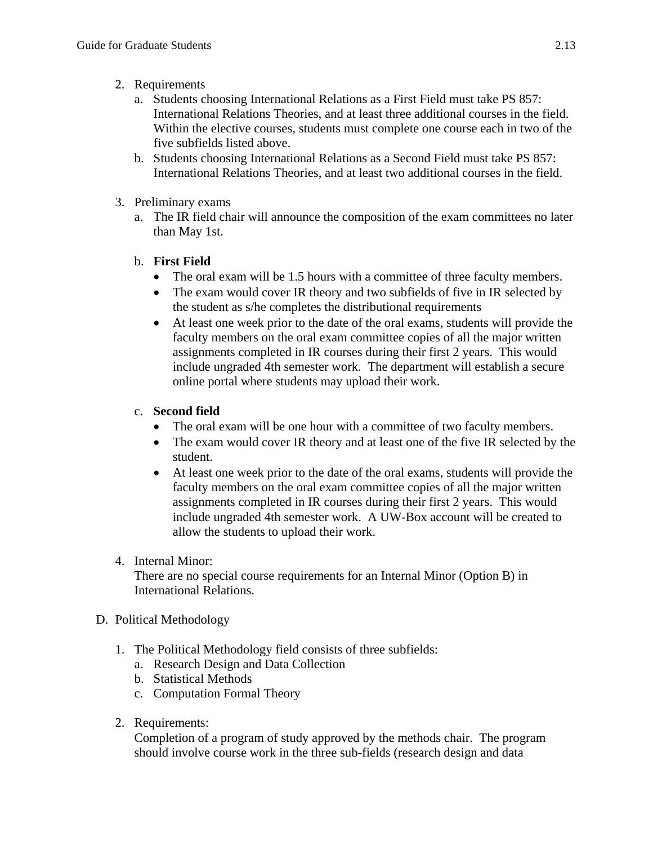- 2. Requirements
	- a. Students choosing International Relations as a First Field must take PS 857: International Relations Theories, and at least three additional courses in the field. Within the elective courses, students must complete one course each in two of the five subfields listed above.
	- b. Students choosing International Relations as a Second Field must take PS 857: International Relations Theories, and at least two additional courses in the field.
- 3. Preliminary exams
	- a. The IR field chair will announce the composition of the exam committees no later than May 1st.
	- b. **First Field** 
		- The oral exam will be 1.5 hours with a committee of three faculty members.
		- The exam would cover IR theory and two subfields of five in IR selected by the student as s/he completes the distributional requirements
		- At least one week prior to the date of the oral exams, students will provide the faculty members on the oral exam committee copies of all the major written assignments completed in IR courses during their first 2 years. This would include ungraded 4th semester work. The department will establish a secure online portal where students may upload their work.
	- c. **Second field** 
		- The oral exam will be one hour with a committee of two faculty members.
		- The exam would cover IR theory and at least one of the five IR selected by the student.
		- At least one week prior to the date of the oral exams, students will provide the faculty members on the oral exam committee copies of all the major written assignments completed in IR courses during their first 2 years. This would include ungraded 4th semester work. A UW-Box account will be created to allow the students to upload their work.
- 4. Internal Minor:

There are no special course requirements for an Internal Minor (Option B) in International Relations.

- D. Political Methodology
	- 1. The Political Methodology field consists of three subfields:
		- a. Research Design and Data Collection
		- b. Statistical Methods
		- c. Computation Formal Theory
	- 2. Requirements:

Completion of a program of study approved by the methods chair. The program should involve course work in the three sub-fields (research design and data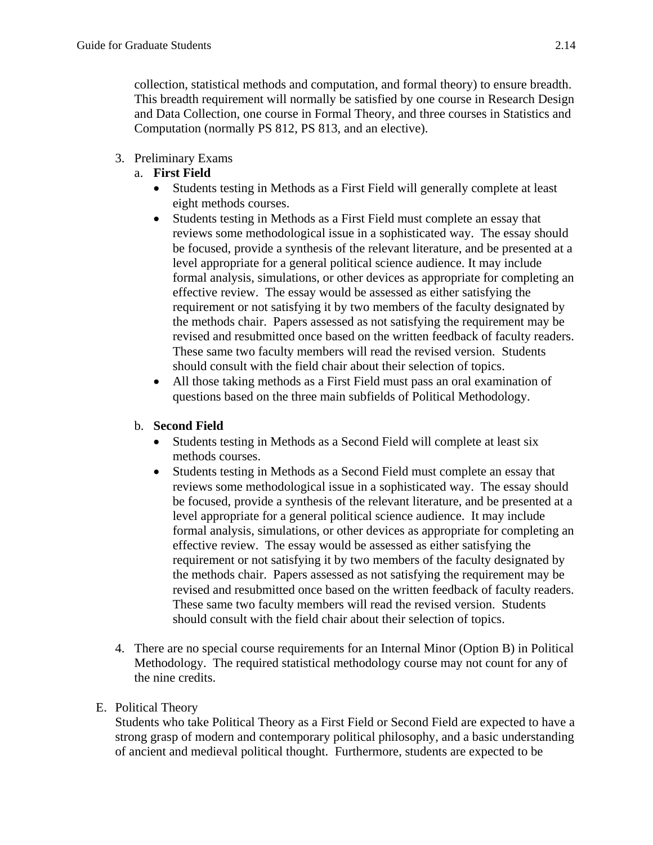collection, statistical methods and computation, and formal theory) to ensure breadth. This breadth requirement will normally be satisfied by one course in Research Design and Data Collection, one course in Formal Theory, and three courses in Statistics and Computation (normally PS 812, PS 813, and an elective).

# 3. Preliminary Exams

# a. **First Field**

- Students testing in Methods as a First Field will generally complete at least eight methods courses.
- Students testing in Methods as a First Field must complete an essay that reviews some methodological issue in a sophisticated way. The essay should be focused, provide a synthesis of the relevant literature, and be presented at a level appropriate for a general political science audience. It may include formal analysis, simulations, or other devices as appropriate for completing an effective review. The essay would be assessed as either satisfying the requirement or not satisfying it by two members of the faculty designated by the methods chair. Papers assessed as not satisfying the requirement may be revised and resubmitted once based on the written feedback of faculty readers. These same two faculty members will read the revised version. Students should consult with the field chair about their selection of topics.
- All those taking methods as a First Field must pass an oral examination of questions based on the three main subfields of Political Methodology.

# b. **Second Field**

- Students testing in Methods as a Second Field will complete at least six methods courses.
- Students testing in Methods as a Second Field must complete an essay that reviews some methodological issue in a sophisticated way. The essay should be focused, provide a synthesis of the relevant literature, and be presented at a level appropriate for a general political science audience. It may include formal analysis, simulations, or other devices as appropriate for completing an effective review. The essay would be assessed as either satisfying the requirement or not satisfying it by two members of the faculty designated by the methods chair. Papers assessed as not satisfying the requirement may be revised and resubmitted once based on the written feedback of faculty readers. These same two faculty members will read the revised version. Students should consult with the field chair about their selection of topics.
- 4. There are no special course requirements for an Internal Minor (Option B) in Political Methodology. The required statistical methodology course may not count for any of the nine credits.

# E. Political Theory

Students who take Political Theory as a First Field or Second Field are expected to have a strong grasp of modern and contemporary political philosophy, and a basic understanding of ancient and medieval political thought. Furthermore, students are expected to be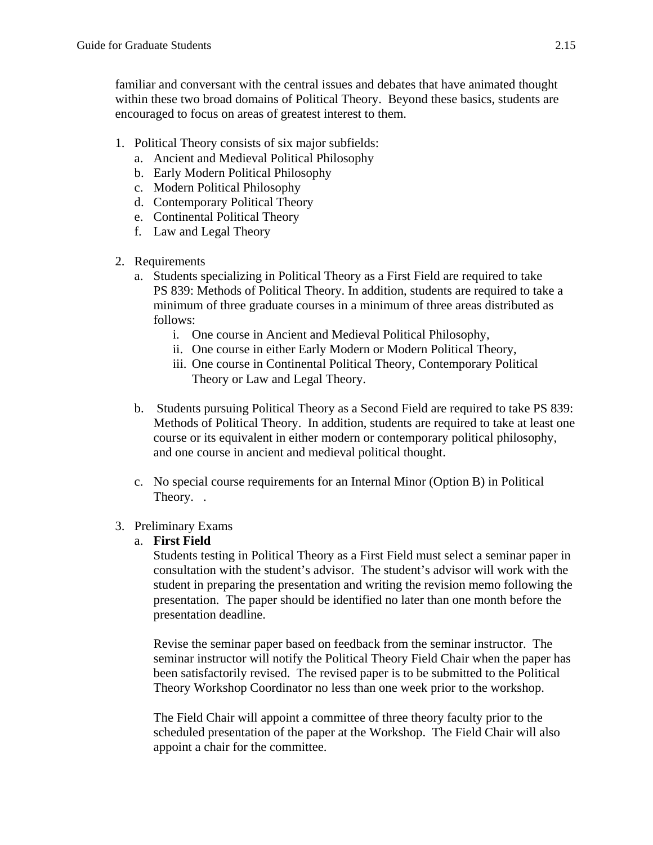familiar and conversant with the central issues and debates that have animated thought within these two broad domains of Political Theory. Beyond these basics, students are encouraged to focus on areas of greatest interest to them.

- 1. Political Theory consists of six major subfields:
	- a. Ancient and Medieval Political Philosophy
	- b. Early Modern Political Philosophy
	- c. Modern Political Philosophy
	- d. Contemporary Political Theory
	- e. Continental Political Theory
	- f. Law and Legal Theory
- 2. Requirements
	- a. Students specializing in Political Theory as a First Field are required to take PS 839: Methods of Political Theory. In addition, students are required to take a minimum of three graduate courses in a minimum of three areas distributed as follows:
		- i. One course in Ancient and Medieval Political Philosophy,
		- ii. One course in either Early Modern or Modern Political Theory,
		- iii. One course in Continental Political Theory, Contemporary Political Theory or Law and Legal Theory.
	- b. Students pursuing Political Theory as a Second Field are required to take PS 839: Methods of Political Theory. In addition, students are required to take at least one course or its equivalent in either modern or contemporary political philosophy, and one course in ancient and medieval political thought.
	- c. No special course requirements for an Internal Minor (Option B) in Political Theory. .

# 3. Preliminary Exams

# a. **First Field**

Students testing in Political Theory as a First Field must select a seminar paper in consultation with the student's advisor. The student's advisor will work with the student in preparing the presentation and writing the revision memo following the presentation. The paper should be identified no later than one month before the presentation deadline.

Revise the seminar paper based on feedback from the seminar instructor. The seminar instructor will notify the Political Theory Field Chair when the paper has been satisfactorily revised. The revised paper is to be submitted to the Political Theory Workshop Coordinator no less than one week prior to the workshop.

The Field Chair will appoint a committee of three theory faculty prior to the scheduled presentation of the paper at the Workshop. The Field Chair will also appoint a chair for the committee.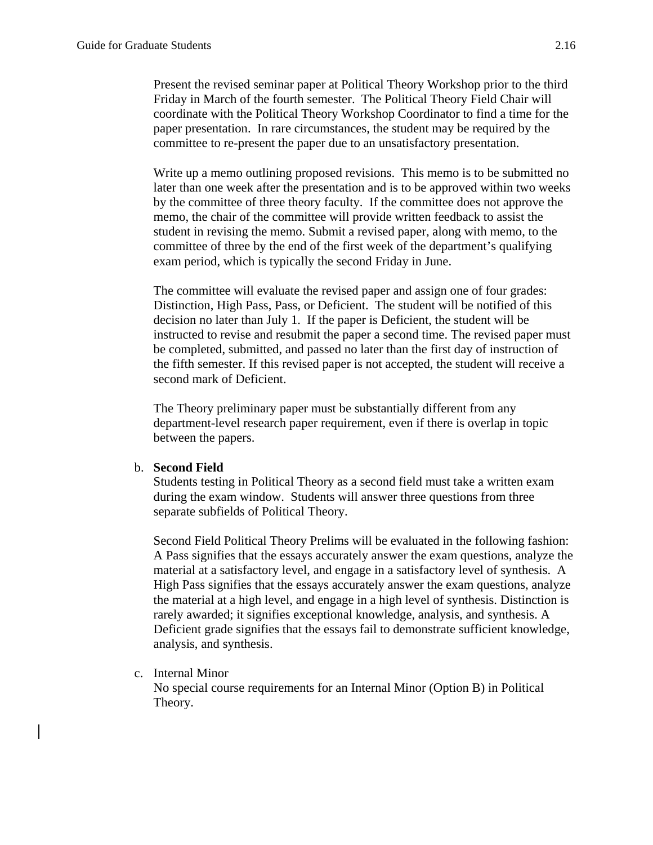Present the revised seminar paper at Political Theory Workshop prior to the third Friday in March of the fourth semester. The Political Theory Field Chair will coordinate with the Political Theory Workshop Coordinator to find a time for the paper presentation. In rare circumstances, the student may be required by the committee to re-present the paper due to an unsatisfactory presentation.

Write up a memo outlining proposed revisions. This memo is to be submitted no later than one week after the presentation and is to be approved within two weeks by the committee of three theory faculty. If the committee does not approve the memo, the chair of the committee will provide written feedback to assist the student in revising the memo. Submit a revised paper, along with memo, to the committee of three by the end of the first week of the department's qualifying exam period, which is typically the second Friday in June.

The committee will evaluate the revised paper and assign one of four grades: Distinction, High Pass, Pass, or Deficient. The student will be notified of this decision no later than July 1. If the paper is Deficient, the student will be instructed to revise and resubmit the paper a second time. The revised paper must be completed, submitted, and passed no later than the first day of instruction of the fifth semester. If this revised paper is not accepted, the student will receive a second mark of Deficient.

The Theory preliminary paper must be substantially different from any department-level research paper requirement, even if there is overlap in topic between the papers.

#### b. **Second Field**

Students testing in Political Theory as a second field must take a written exam during the exam window. Students will answer three questions from three separate subfields of Political Theory.

Second Field Political Theory Prelims will be evaluated in the following fashion: A Pass signifies that the essays accurately answer the exam questions, analyze the material at a satisfactory level, and engage in a satisfactory level of synthesis. A High Pass signifies that the essays accurately answer the exam questions, analyze the material at a high level, and engage in a high level of synthesis. Distinction is rarely awarded; it signifies exceptional knowledge, analysis, and synthesis. A Deficient grade signifies that the essays fail to demonstrate sufficient knowledge, analysis, and synthesis.

#### c. Internal Minor

No special course requirements for an Internal Minor (Option B) in Political Theory.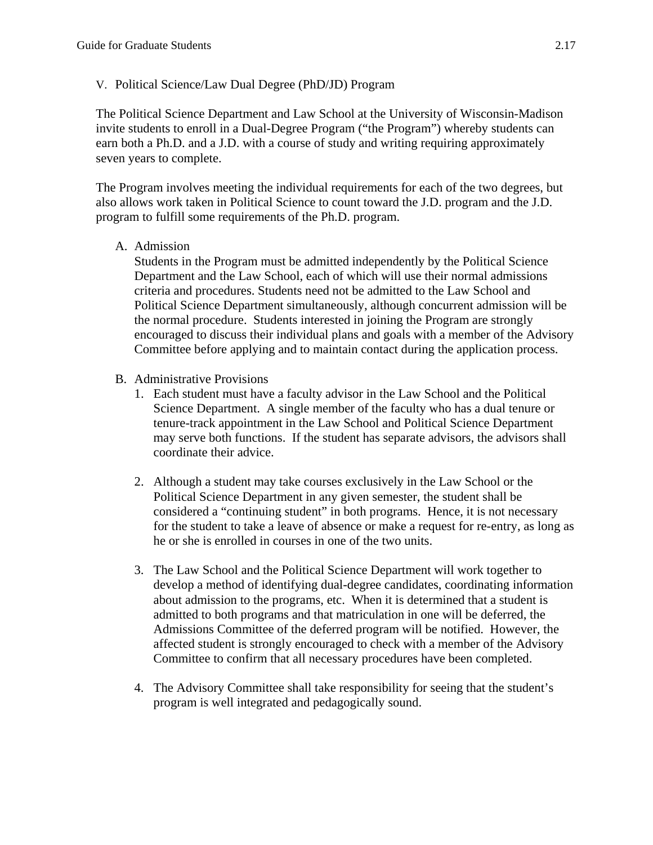V. Political Science/Law Dual Degree (PhD/JD) Program

The Political Science Department and Law School at the University of Wisconsin-Madison invite students to enroll in a Dual-Degree Program ("the Program") whereby students can earn both a Ph.D. and a J.D. with a course of study and writing requiring approximately seven years to complete.

The Program involves meeting the individual requirements for each of the two degrees, but also allows work taken in Political Science to count toward the J.D. program and the J.D. program to fulfill some requirements of the Ph.D. program.

A. Admission

Students in the Program must be admitted independently by the Political Science Department and the Law School, each of which will use their normal admissions criteria and procedures. Students need not be admitted to the Law School and Political Science Department simultaneously, although concurrent admission will be the normal procedure. Students interested in joining the Program are strongly encouraged to discuss their individual plans and goals with a member of the Advisory Committee before applying and to maintain contact during the application process.

- B. Administrative Provisions
	- 1. Each student must have a faculty advisor in the Law School and the Political Science Department. A single member of the faculty who has a dual tenure or tenure-track appointment in the Law School and Political Science Department may serve both functions. If the student has separate advisors, the advisors shall coordinate their advice.
	- 2. Although a student may take courses exclusively in the Law School or the Political Science Department in any given semester, the student shall be considered a "continuing student" in both programs. Hence, it is not necessary for the student to take a leave of absence or make a request for re-entry, as long as he or she is enrolled in courses in one of the two units.
	- 3. The Law School and the Political Science Department will work together to develop a method of identifying dual-degree candidates, coordinating information about admission to the programs, etc. When it is determined that a student is admitted to both programs and that matriculation in one will be deferred, the Admissions Committee of the deferred program will be notified. However, the affected student is strongly encouraged to check with a member of the Advisory Committee to confirm that all necessary procedures have been completed.
	- 4. The Advisory Committee shall take responsibility for seeing that the student's program is well integrated and pedagogically sound.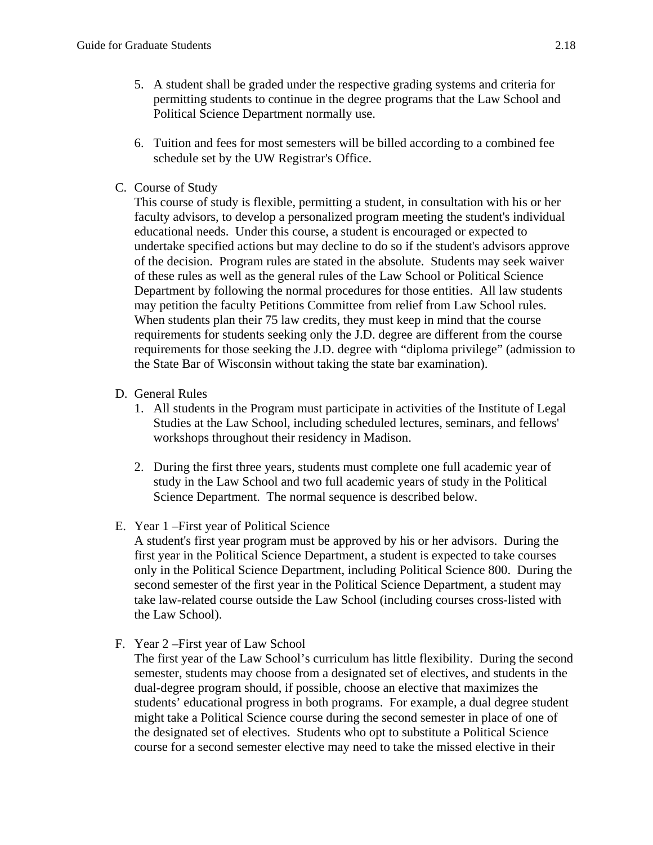- 5. A student shall be graded under the respective grading systems and criteria for permitting students to continue in the degree programs that the Law School and Political Science Department normally use.
- 6. Tuition and fees for most semesters will be billed according to a combined fee schedule set by the UW Registrar's Office.
- C. Course of Study

This course of study is flexible, permitting a student, in consultation with his or her faculty advisors, to develop a personalized program meeting the student's individual educational needs. Under this course, a student is encouraged or expected to undertake specified actions but may decline to do so if the student's advisors approve of the decision. Program rules are stated in the absolute. Students may seek waiver of these rules as well as the general rules of the Law School or Political Science Department by following the normal procedures for those entities. All law students may petition the faculty Petitions Committee from relief from Law School rules. When students plan their 75 law credits, they must keep in mind that the course requirements for students seeking only the J.D. degree are different from the course requirements for those seeking the J.D. degree with "diploma privilege" (admission to the State Bar of Wisconsin without taking the state bar examination).

- D. General Rules
	- 1. All students in the Program must participate in activities of the Institute of Legal Studies at the Law School, including scheduled lectures, seminars, and fellows' workshops throughout their residency in Madison.
	- 2. During the first three years, students must complete one full academic year of study in the Law School and two full academic years of study in the Political Science Department. The normal sequence is described below.
- E. Year 1 –First year of Political Science

A student's first year program must be approved by his or her advisors. During the first year in the Political Science Department, a student is expected to take courses only in the Political Science Department, including Political Science 800. During the second semester of the first year in the Political Science Department, a student may take law-related course outside the Law School (including courses cross-listed with the Law School).

F. Year 2 –First year of Law School

The first year of the Law School's curriculum has little flexibility. During the second semester, students may choose from a designated set of electives, and students in the dual-degree program should, if possible, choose an elective that maximizes the students' educational progress in both programs. For example, a dual degree student might take a Political Science course during the second semester in place of one of the designated set of electives. Students who opt to substitute a Political Science course for a second semester elective may need to take the missed elective in their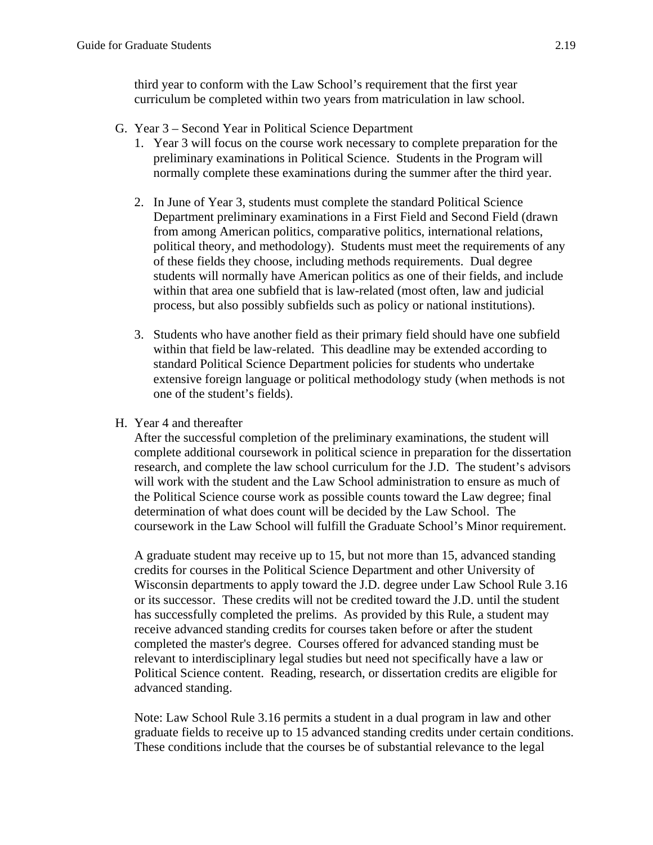third year to conform with the Law School's requirement that the first year curriculum be completed within two years from matriculation in law school.

- G. Year 3 Second Year in Political Science Department
	- 1. Year 3 will focus on the course work necessary to complete preparation for the preliminary examinations in Political Science. Students in the Program will normally complete these examinations during the summer after the third year.
	- 2. In June of Year 3, students must complete the standard Political Science Department preliminary examinations in a First Field and Second Field (drawn from among American politics, comparative politics, international relations, political theory, and methodology). Students must meet the requirements of any of these fields they choose, including methods requirements. Dual degree students will normally have American politics as one of their fields, and include within that area one subfield that is law-related (most often, law and judicial process, but also possibly subfields such as policy or national institutions).
	- 3. Students who have another field as their primary field should have one subfield within that field be law-related. This deadline may be extended according to standard Political Science Department policies for students who undertake extensive foreign language or political methodology study (when methods is not one of the student's fields).
- H. Year 4 and thereafter

After the successful completion of the preliminary examinations, the student will complete additional coursework in political science in preparation for the dissertation research, and complete the law school curriculum for the J.D. The student's advisors will work with the student and the Law School administration to ensure as much of the Political Science course work as possible counts toward the Law degree; final determination of what does count will be decided by the Law School. The coursework in the Law School will fulfill the Graduate School's Minor requirement.

A graduate student may receive up to 15, but not more than 15, advanced standing credits for courses in the Political Science Department and other University of Wisconsin departments to apply toward the J.D. degree under Law School Rule 3.16 or its successor. These credits will not be credited toward the J.D. until the student has successfully completed the prelims. As provided by this Rule, a student may receive advanced standing credits for courses taken before or after the student completed the master's degree. Courses offered for advanced standing must be relevant to interdisciplinary legal studies but need not specifically have a law or Political Science content. Reading, research, or dissertation credits are eligible for advanced standing.

Note: Law School Rule 3.16 permits a student in a dual program in law and other graduate fields to receive up to 15 advanced standing credits under certain conditions. These conditions include that the courses be of substantial relevance to the legal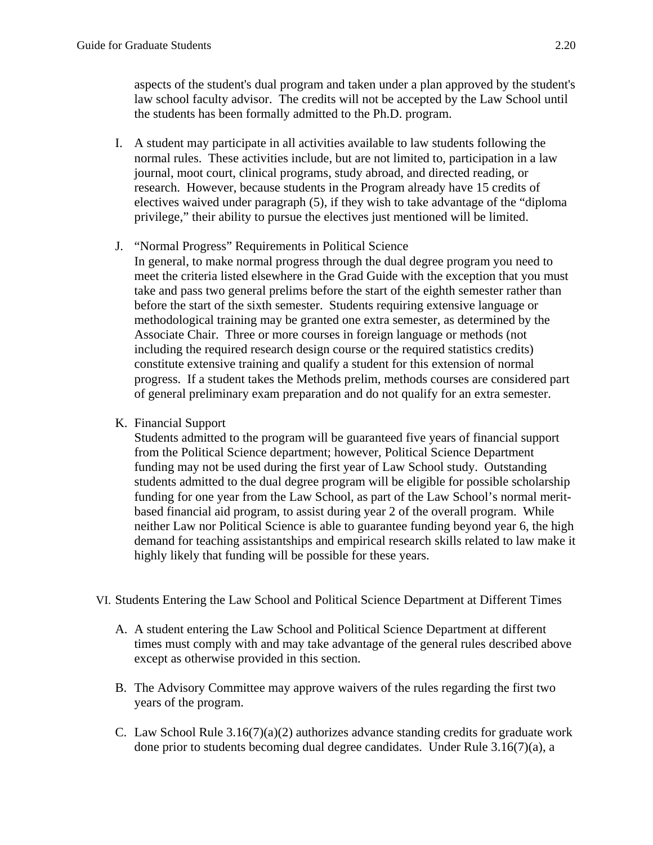aspects of the student's dual program and taken under a plan approved by the student's law school faculty advisor. The credits will not be accepted by the Law School until the students has been formally admitted to the Ph.D. program.

- I. A student may participate in all activities available to law students following the normal rules. These activities include, but are not limited to, participation in a law journal, moot court, clinical programs, study abroad, and directed reading, or research. However, because students in the Program already have 15 credits of electives waived under paragraph (5), if they wish to take advantage of the "diploma privilege," their ability to pursue the electives just mentioned will be limited.
- J. "Normal Progress" Requirements in Political Science

In general, to make normal progress through the dual degree program you need to meet the criteria listed elsewhere in the Grad Guide with the exception that you must take and pass two general prelims before the start of the eighth semester rather than before the start of the sixth semester. Students requiring extensive language or methodological training may be granted one extra semester, as determined by the Associate Chair. Three or more courses in foreign language or methods (not including the required research design course or the required statistics credits) constitute extensive training and qualify a student for this extension of normal progress. If a student takes the Methods prelim, methods courses are considered part of general preliminary exam preparation and do not qualify for an extra semester.

K. Financial Support

Students admitted to the program will be guaranteed five years of financial support from the Political Science department; however, Political Science Department funding may not be used during the first year of Law School study. Outstanding students admitted to the dual degree program will be eligible for possible scholarship funding for one year from the Law School, as part of the Law School's normal meritbased financial aid program, to assist during year 2 of the overall program. While neither Law nor Political Science is able to guarantee funding beyond year 6, the high demand for teaching assistantships and empirical research skills related to law make it highly likely that funding will be possible for these years.

- VI. Students Entering the Law School and Political Science Department at Different Times
	- A. A student entering the Law School and Political Science Department at different times must comply with and may take advantage of the general rules described above except as otherwise provided in this section.
	- B. The Advisory Committee may approve waivers of the rules regarding the first two years of the program.
	- C. Law School Rule  $3.16(7)(a)(2)$  authorizes advance standing credits for graduate work done prior to students becoming dual degree candidates. Under Rule 3.16(7)(a), a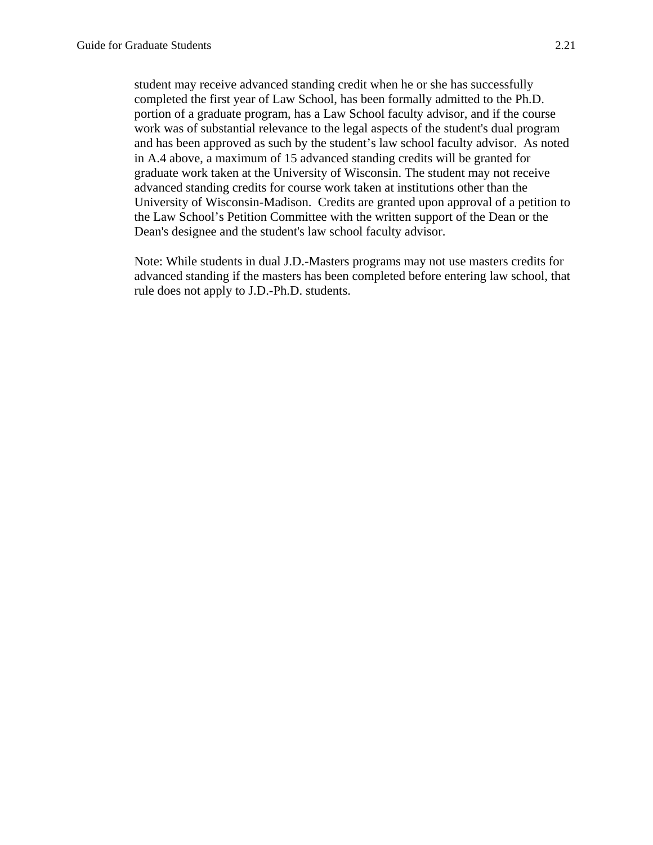student may receive advanced standing credit when he or she has successfully completed the first year of Law School, has been formally admitted to the Ph.D. portion of a graduate program, has a Law School faculty advisor, and if the course work was of substantial relevance to the legal aspects of the student's dual program and has been approved as such by the student's law school faculty advisor. As noted in A.4 above, a maximum of 15 advanced standing credits will be granted for graduate work taken at the University of Wisconsin. The student may not receive advanced standing credits for course work taken at institutions other than the University of Wisconsin-Madison. Credits are granted upon approval of a petition to the Law School's Petition Committee with the written support of the Dean or the Dean's designee and the student's law school faculty advisor.

Note: While students in dual J.D.-Masters programs may not use masters credits for advanced standing if the masters has been completed before entering law school, that rule does not apply to J.D.-Ph.D. students.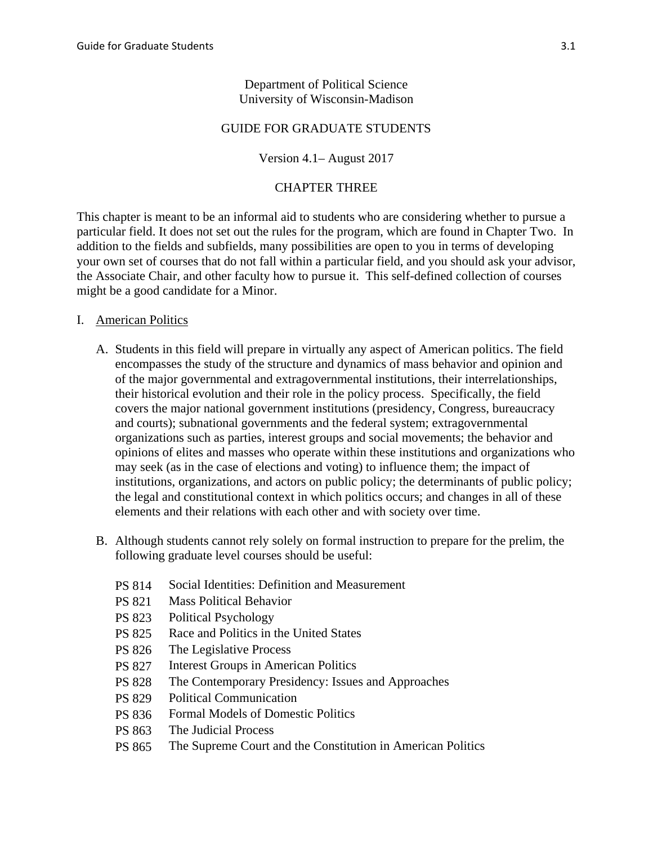### Department of Political Science University of Wisconsin-Madison

### GUIDE FOR GRADUATE STUDENTS

### Version 4.1– August 2017

### CHAPTER THREE

This chapter is meant to be an informal aid to students who are considering whether to pursue a particular field. It does not set out the rules for the program, which are found in Chapter Two. In addition to the fields and subfields, many possibilities are open to you in terms of developing your own set of courses that do not fall within a particular field, and you should ask your advisor, the Associate Chair, and other faculty how to pursue it. This self-defined collection of courses might be a good candidate for a Minor.

### I. American Politics

- A. Students in this field will prepare in virtually any aspect of American politics. The field encompasses the study of the structure and dynamics of mass behavior and opinion and of the major governmental and extragovernmental institutions, their interrelationships, their historical evolution and their role in the policy process. Specifically, the field covers the major national government institutions (presidency, Congress, bureaucracy and courts); subnational governments and the federal system; extragovernmental organizations such as parties, interest groups and social movements; the behavior and opinions of elites and masses who operate within these institutions and organizations who may seek (as in the case of elections and voting) to influence them; the impact of institutions, organizations, and actors on public policy; the determinants of public policy; the legal and constitutional context in which politics occurs; and changes in all of these elements and their relations with each other and with society over time.
- B. Although students cannot rely solely on formal instruction to prepare for the prelim, the following graduate level courses should be useful:
	- PS 814 Social Identities: Definition and Measurement
	- PS 821 Mass Political Behavior
	- PS 823 Political Psychology
	- PS 825 Race and Politics in the United States
	- PS 826 The Legislative Process
	- PS 827 Interest Groups in American Politics
	- PS 828 The Contemporary Presidency: Issues and Approaches
	- PS 829 Political Communication
	- PS 836 Formal Models of Domestic Politics
	- PS 863 The Judicial Process
	- PS 865 The Supreme Court and the Constitution in American Politics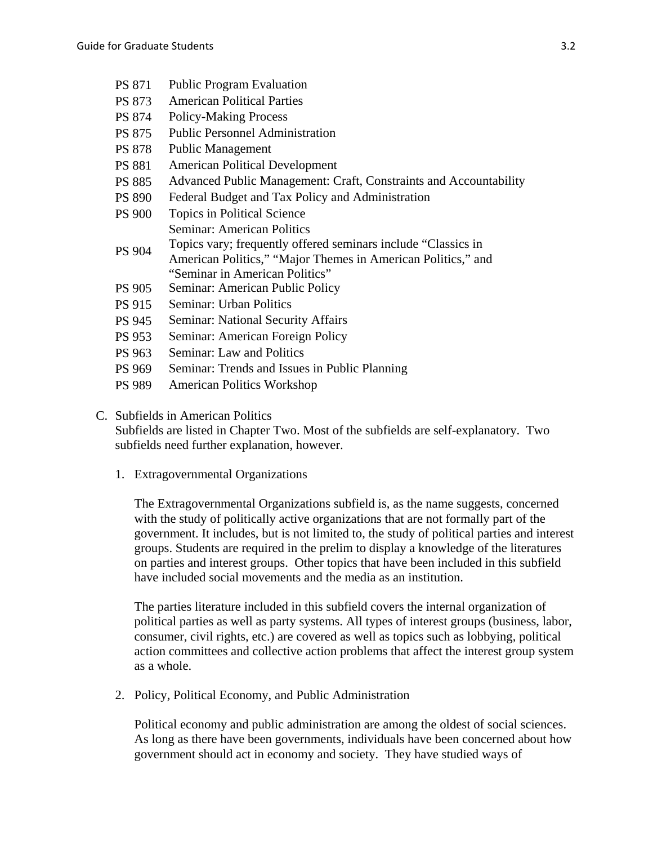- PS 871 Public Program Evaluation
- PS 873 American Political Parties
- PS 874 Policy-Making Process
- PS 875 Public Personnel Administration
- PS 878 Public Management
- PS 881 American Political Development
- PS 885 Advanced Public Management: Craft, Constraints and Accountability
- PS 890 Federal Budget and Tax Policy and Administration
- PS 900 Topics in Political Science Seminar: American Politics Topics vary; frequently offered seminars include "Classics in
- PS 904 American Politics," "Major Themes in American Politics," and "Seminar in American Politics"
- PS 905 Seminar: American Public Policy
- PS 915 Seminar: Urban Politics
- PS 945 Seminar: National Security Affairs
- PS 953 Seminar: American Foreign Policy
- PS 963 Seminar: Law and Politics
- PS 969 Seminar: Trends and Issues in Public Planning
- PS 989 American Politics Workshop

#### C. Subfields in American Politics

Subfields are listed in Chapter Two. Most of the subfields are self-explanatory. Two subfields need further explanation, however.

1. Extragovernmental Organizations

The Extragovernmental Organizations subfield is, as the name suggests, concerned with the study of politically active organizations that are not formally part of the government. It includes, but is not limited to, the study of political parties and interest groups. Students are required in the prelim to display a knowledge of the literatures on parties and interest groups. Other topics that have been included in this subfield have included social movements and the media as an institution.

The parties literature included in this subfield covers the internal organization of political parties as well as party systems. All types of interest groups (business, labor, consumer, civil rights, etc.) are covered as well as topics such as lobbying, political action committees and collective action problems that affect the interest group system as a whole.

2. Policy, Political Economy, and Public Administration

Political economy and public administration are among the oldest of social sciences. As long as there have been governments, individuals have been concerned about how government should act in economy and society. They have studied ways of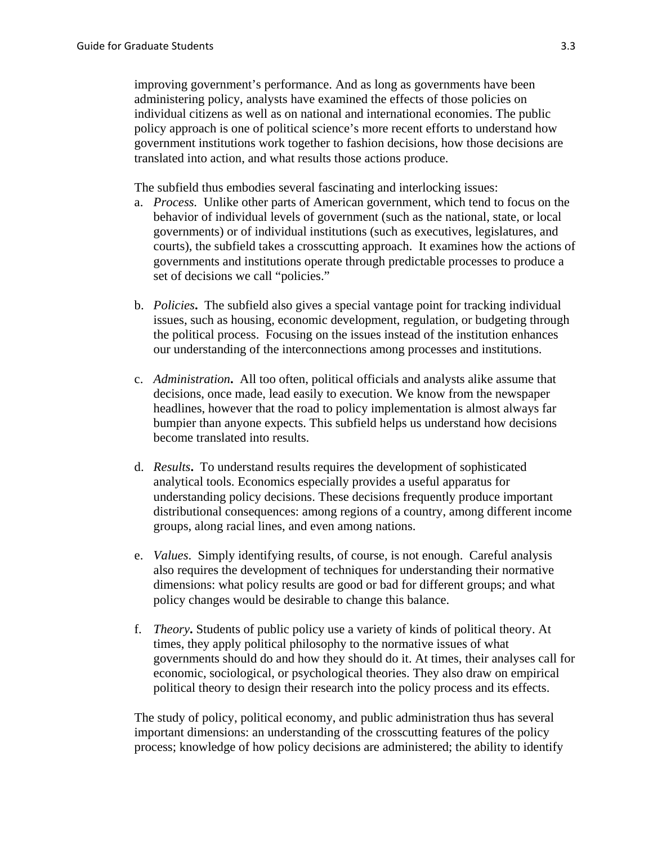improving government's performance. And as long as governments have been administering policy, analysts have examined the effects of those policies on individual citizens as well as on national and international economies. The public policy approach is one of political science's more recent efforts to understand how government institutions work together to fashion decisions, how those decisions are translated into action, and what results those actions produce.

The subfield thus embodies several fascinating and interlocking issues:

- a. *Process.* Unlike other parts of American government, which tend to focus on the behavior of individual levels of government (such as the national, state, or local governments) or of individual institutions (such as executives, legislatures, and courts), the subfield takes a crosscutting approach. It examines how the actions of governments and institutions operate through predictable processes to produce a set of decisions we call "policies."
- b. *Policies***.** The subfield also gives a special vantage point for tracking individual issues, such as housing, economic development, regulation, or budgeting through the political process. Focusing on the issues instead of the institution enhances our understanding of the interconnections among processes and institutions.
- c. *Administration***.** All too often, political officials and analysts alike assume that decisions, once made, lead easily to execution. We know from the newspaper headlines, however that the road to policy implementation is almost always far bumpier than anyone expects. This subfield helps us understand how decisions become translated into results.
- d. *Results***.** To understand results requires the development of sophisticated analytical tools. Economics especially provides a useful apparatus for understanding policy decisions. These decisions frequently produce important distributional consequences: among regions of a country, among different income groups, along racial lines, and even among nations.
- e. *Values*. Simply identifying results, of course, is not enough. Careful analysis also requires the development of techniques for understanding their normative dimensions: what policy results are good or bad for different groups; and what policy changes would be desirable to change this balance.
- f. *Theory***.** Students of public policy use a variety of kinds of political theory. At times, they apply political philosophy to the normative issues of what governments should do and how they should do it. At times, their analyses call for economic, sociological, or psychological theories. They also draw on empirical political theory to design their research into the policy process and its effects.

The study of policy, political economy, and public administration thus has several important dimensions: an understanding of the crosscutting features of the policy process; knowledge of how policy decisions are administered; the ability to identify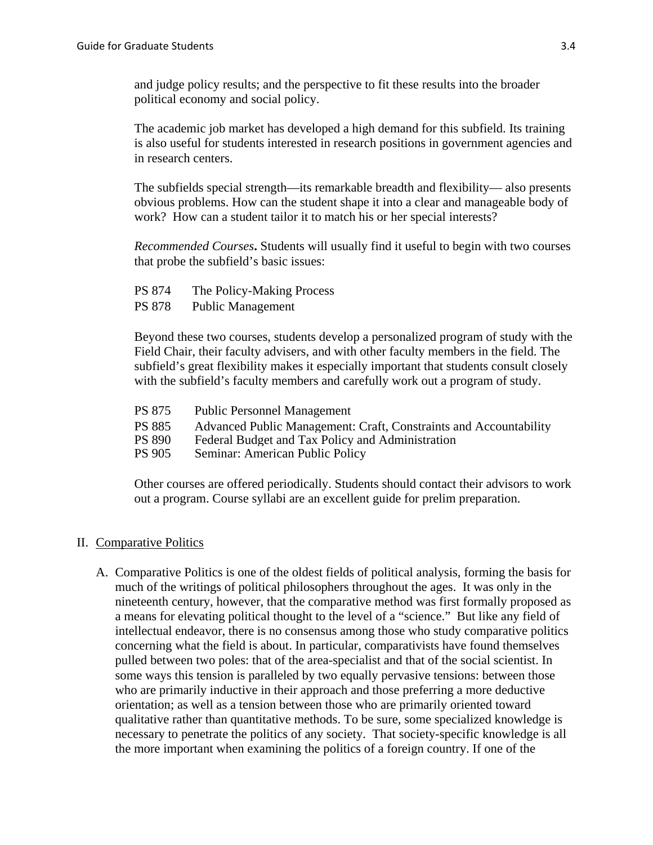and judge policy results; and the perspective to fit these results into the broader political economy and social policy.

The academic job market has developed a high demand for this subfield. Its training is also useful for students interested in research positions in government agencies and in research centers.

The subfields special strength—its remarkable breadth and flexibility— also presents obvious problems. How can the student shape it into a clear and manageable body of work? How can a student tailor it to match his or her special interests?

*Recommended Courses***.** Students will usually find it useful to begin with two courses that probe the subfield's basic issues:

- PS 874 The Policy-Making Process
- PS 878 Public Management

Beyond these two courses, students develop a personalized program of study with the Field Chair, their faculty advisers, and with other faculty members in the field. The subfield's great flexibility makes it especially important that students consult closely with the subfield's faculty members and carefully work out a program of study.

- PS 875 Public Personnel Management
- PS 885 Advanced Public Management: Craft, Constraints and Accountability<br>PS 890 Federal Budget and Tax Policy and Administration
- Federal Budget and Tax Policy and Administration
- PS 905 Seminar: American Public Policy

Other courses are offered periodically. Students should contact their advisors to work out a program. Course syllabi are an excellent guide for prelim preparation.

#### II. Comparative Politics

A. Comparative Politics is one of the oldest fields of political analysis, forming the basis for much of the writings of political philosophers throughout the ages. It was only in the nineteenth century, however, that the comparative method was first formally proposed as a means for elevating political thought to the level of a "science." But like any field of intellectual endeavor, there is no consensus among those who study comparative politics concerning what the field is about. In particular, comparativists have found themselves pulled between two poles: that of the area-specialist and that of the social scientist. In some ways this tension is paralleled by two equally pervasive tensions: between those who are primarily inductive in their approach and those preferring a more deductive orientation; as well as a tension between those who are primarily oriented toward qualitative rather than quantitative methods. To be sure, some specialized knowledge is necessary to penetrate the politics of any society. That society-specific knowledge is all the more important when examining the politics of a foreign country. If one of the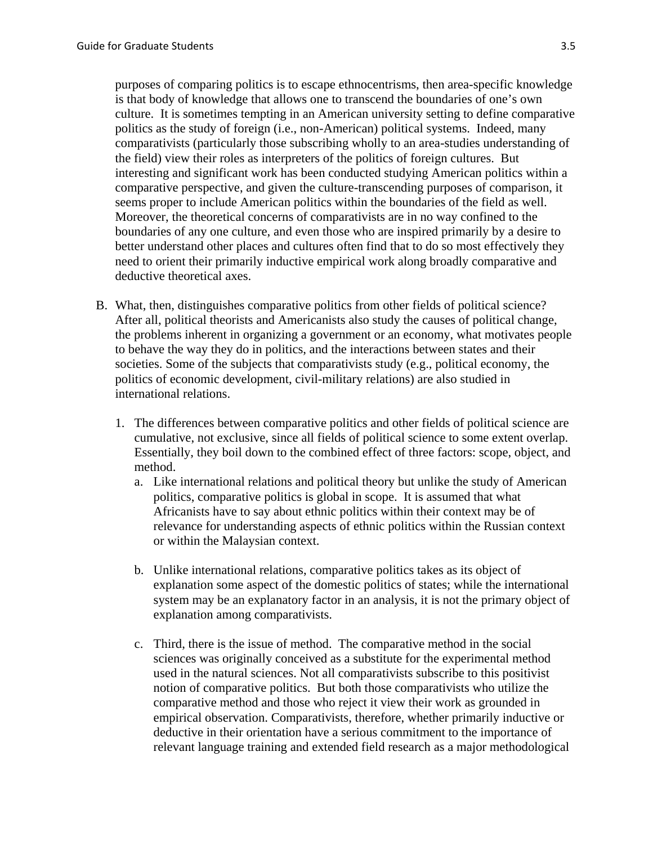purposes of comparing politics is to escape ethnocentrisms, then area-specific knowledge is that body of knowledge that allows one to transcend the boundaries of one's own culture. It is sometimes tempting in an American university setting to define comparative politics as the study of foreign (i.e., non-American) political systems. Indeed, many comparativists (particularly those subscribing wholly to an area-studies understanding of the field) view their roles as interpreters of the politics of foreign cultures. But interesting and significant work has been conducted studying American politics within a comparative perspective, and given the culture-transcending purposes of comparison, it seems proper to include American politics within the boundaries of the field as well. Moreover, the theoretical concerns of comparativists are in no way confined to the boundaries of any one culture, and even those who are inspired primarily by a desire to better understand other places and cultures often find that to do so most effectively they need to orient their primarily inductive empirical work along broadly comparative and deductive theoretical axes.

- B. What, then, distinguishes comparative politics from other fields of political science? After all, political theorists and Americanists also study the causes of political change, the problems inherent in organizing a government or an economy, what motivates people to behave the way they do in politics, and the interactions between states and their societies. Some of the subjects that comparativists study (e.g., political economy, the politics of economic development, civil-military relations) are also studied in international relations.
	- 1. The differences between comparative politics and other fields of political science are cumulative, not exclusive, since all fields of political science to some extent overlap. Essentially, they boil down to the combined effect of three factors: scope, object, and method.
		- a. Like international relations and political theory but unlike the study of American politics, comparative politics is global in scope. It is assumed that what Africanists have to say about ethnic politics within their context may be of relevance for understanding aspects of ethnic politics within the Russian context or within the Malaysian context.
		- b. Unlike international relations, comparative politics takes as its object of explanation some aspect of the domestic politics of states; while the international system may be an explanatory factor in an analysis, it is not the primary object of explanation among comparativists.
		- c. Third, there is the issue of method. The comparative method in the social sciences was originally conceived as a substitute for the experimental method used in the natural sciences. Not all comparativists subscribe to this positivist notion of comparative politics. But both those comparativists who utilize the comparative method and those who reject it view their work as grounded in empirical observation. Comparativists, therefore, whether primarily inductive or deductive in their orientation have a serious commitment to the importance of relevant language training and extended field research as a major methodological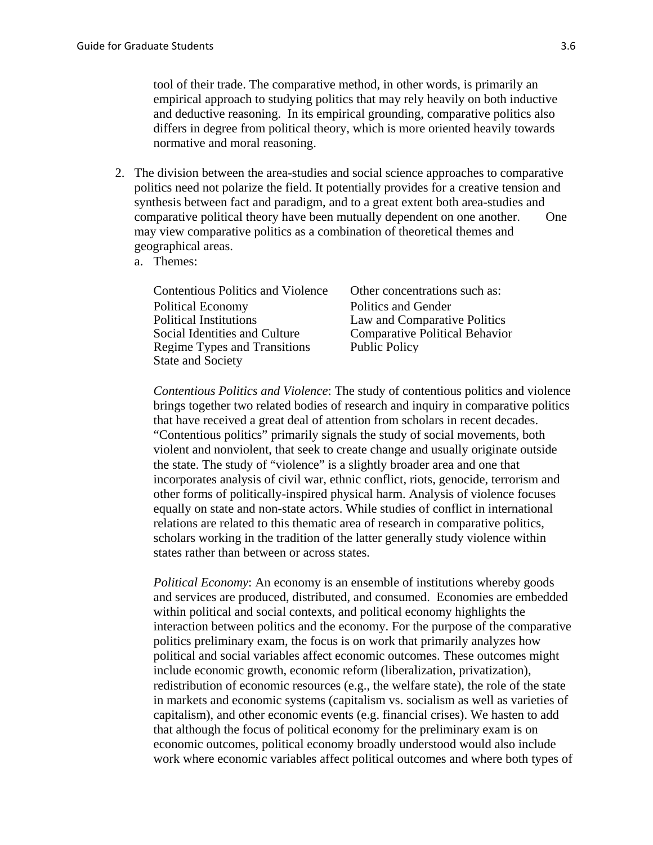tool of their trade. The comparative method, in other words, is primarily an empirical approach to studying politics that may rely heavily on both inductive and deductive reasoning. In its empirical grounding, comparative politics also differs in degree from political theory, which is more oriented heavily towards normative and moral reasoning.

- 2. The division between the area-studies and social science approaches to comparative politics need not polarize the field. It potentially provides for a creative tension and synthesis between fact and paradigm, and to a great extent both area-studies and comparative political theory have been mutually dependent on one another. One may view comparative politics as a combination of theoretical themes and geographical areas.
	- a. Themes:

| <b>Contentious Politics and Violence</b> | Other concentrations such as:         |
|------------------------------------------|---------------------------------------|
| <b>Political Economy</b>                 | Politics and Gender                   |
| <b>Political Institutions</b>            | Law and Comparative Politics          |
| Social Identities and Culture            | <b>Comparative Political Behavior</b> |
| Regime Types and Transitions             | <b>Public Policy</b>                  |
| <b>State and Society</b>                 |                                       |

*Contentious Politics and Violence*: The study of contentious politics and violence brings together two related bodies of research and inquiry in comparative politics that have received a great deal of attention from scholars in recent decades. "Contentious politics" primarily signals the study of social movements, both violent and nonviolent, that seek to create change and usually originate outside the state. The study of "violence" is a slightly broader area and one that incorporates analysis of civil war, ethnic conflict, riots, genocide, terrorism and other forms of politically-inspired physical harm. Analysis of violence focuses equally on state and non-state actors. While studies of conflict in international relations are related to this thematic area of research in comparative politics, scholars working in the tradition of the latter generally study violence within states rather than between or across states.

*Political Economy*: An economy is an ensemble of institutions whereby goods and services are produced, distributed, and consumed. Economies are embedded within political and social contexts, and political economy highlights the interaction between politics and the economy. For the purpose of the comparative politics preliminary exam, the focus is on work that primarily analyzes how political and social variables affect economic outcomes. These outcomes might include economic growth, economic reform (liberalization, privatization), redistribution of economic resources (e.g., the welfare state), the role of the state in markets and economic systems (capitalism vs. socialism as well as varieties of capitalism), and other economic events (e.g. financial crises). We hasten to add that although the focus of political economy for the preliminary exam is on economic outcomes, political economy broadly understood would also include work where economic variables affect political outcomes and where both types of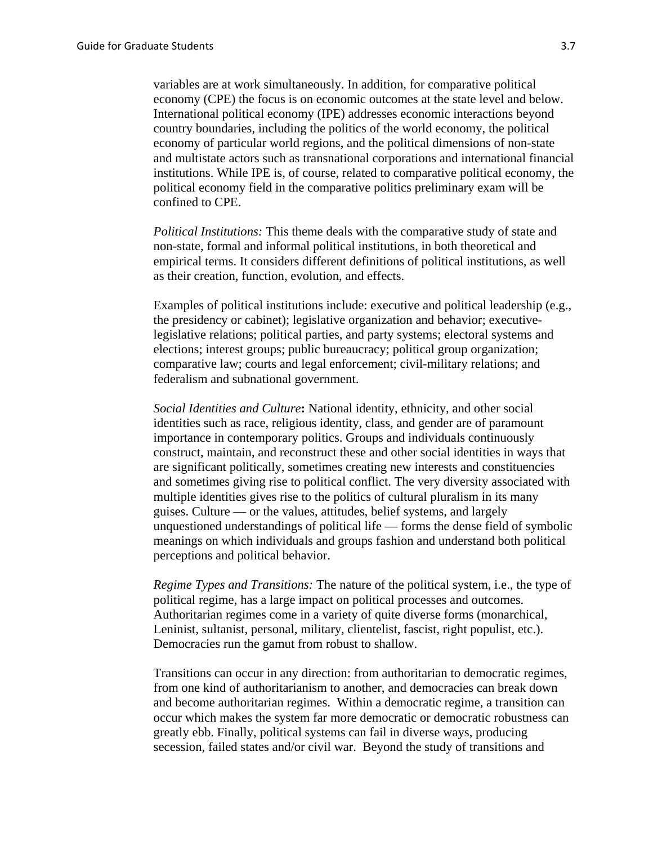variables are at work simultaneously. In addition, for comparative political economy (CPE) the focus is on economic outcomes at the state level and below. International political economy (IPE) addresses economic interactions beyond country boundaries, including the politics of the world economy, the political economy of particular world regions, and the political dimensions of non-state and multistate actors such as transnational corporations and international financial institutions. While IPE is, of course, related to comparative political economy, the political economy field in the comparative politics preliminary exam will be confined to CPE.

*Political Institutions:* This theme deals with the comparative study of state and non-state, formal and informal political institutions, in both theoretical and empirical terms. It considers different definitions of political institutions, as well as their creation, function, evolution, and effects.

Examples of political institutions include: executive and political leadership (e.g., the presidency or cabinet); legislative organization and behavior; executivelegislative relations; political parties, and party systems; electoral systems and elections; interest groups; public bureaucracy; political group organization; comparative law; courts and legal enforcement; civil-military relations; and federalism and subnational government.

*Social Identities and Culture***:** National identity, ethnicity, and other social identities such as race, religious identity, class, and gender are of paramount importance in contemporary politics. Groups and individuals continuously construct, maintain, and reconstruct these and other social identities in ways that are significant politically, sometimes creating new interests and constituencies and sometimes giving rise to political conflict. The very diversity associated with multiple identities gives rise to the politics of cultural pluralism in its many guises. Culture — or the values, attitudes, belief systems, and largely unquestioned understandings of political life — forms the dense field of symbolic meanings on which individuals and groups fashion and understand both political perceptions and political behavior.

*Regime Types and Transitions:* The nature of the political system, i.e., the type of political regime, has a large impact on political processes and outcomes. Authoritarian regimes come in a variety of quite diverse forms (monarchical, Leninist, sultanist, personal, military, clientelist, fascist, right populist, etc.). Democracies run the gamut from robust to shallow.

Transitions can occur in any direction: from authoritarian to democratic regimes, from one kind of authoritarianism to another, and democracies can break down and become authoritarian regimes. Within a democratic regime, a transition can occur which makes the system far more democratic or democratic robustness can greatly ebb. Finally, political systems can fail in diverse ways, producing secession, failed states and/or civil war. Beyond the study of transitions and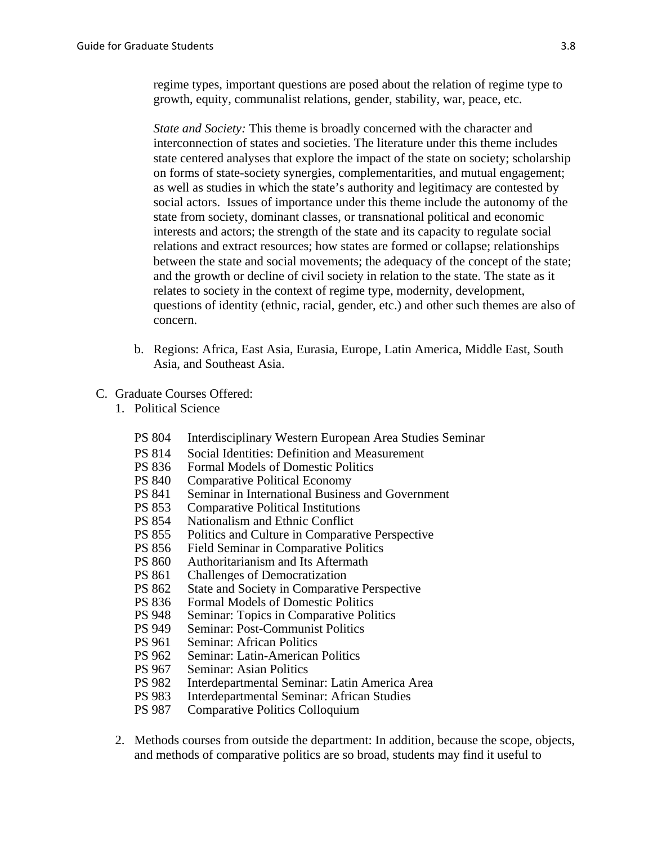regime types, important questions are posed about the relation of regime type to growth, equity, communalist relations, gender, stability, war, peace, etc.

*State and Society:* This theme is broadly concerned with the character and interconnection of states and societies. The literature under this theme includes state centered analyses that explore the impact of the state on society; scholarship on forms of state-society synergies, complementarities, and mutual engagement; as well as studies in which the state's authority and legitimacy are contested by social actors. Issues of importance under this theme include the autonomy of the state from society, dominant classes, or transnational political and economic interests and actors; the strength of the state and its capacity to regulate social relations and extract resources; how states are formed or collapse; relationships between the state and social movements; the adequacy of the concept of the state; and the growth or decline of civil society in relation to the state. The state as it relates to society in the context of regime type, modernity, development, questions of identity (ethnic, racial, gender, etc.) and other such themes are also of concern.

b. Regions: Africa, East Asia, Eurasia, Europe, Latin America, Middle East, South Asia, and Southeast Asia.

### C. Graduate Courses Offered:

- 1. Political Science
	- PS 804 Interdisciplinary Western European Area Studies Seminar
	- PS 814 Social Identities: Definition and Measurement<br>PS 836 Formal Models of Domestic Politics
	- Formal Models of Domestic Politics
	- PS 840 Comparative Political Economy
	- PS 841 Seminar in International Business and Government
	- PS 853 Comparative Political Institutions
	- PS 854 Nationalism and Ethnic Conflict<br>PS 855 Politics and Culture in Comparat
	- Politics and Culture in Comparative Perspective
	- PS 856 Field Seminar in Comparative Politics
	- PS 860 Authoritarianism and Its Aftermath<br>PS 861 Challenges of Democratization
	- **Challenges of Democratization**
	- PS 862 State and Society in Comparative Perspective
	- PS 836 Formal Models of Domestic Politics
	- PS 948 Seminar: Topics in Comparative Politics
	- PS 949 Seminar: Post-Communist Politics<br>PS 961 Seminar: African Politics
	- **Seminar: African Politics**
	- PS 962 Seminar: Latin-American Politics
	- PS 967 Seminar: Asian Politics
	- PS 982 Interdepartmental Seminar: Latin America Area
	- PS 983 Interdepartmental Seminar: African Studies
	- PS 987 Comparative Politics Colloquium
- 2. Methods courses from outside the department: In addition, because the scope, objects, and methods of comparative politics are so broad, students may find it useful to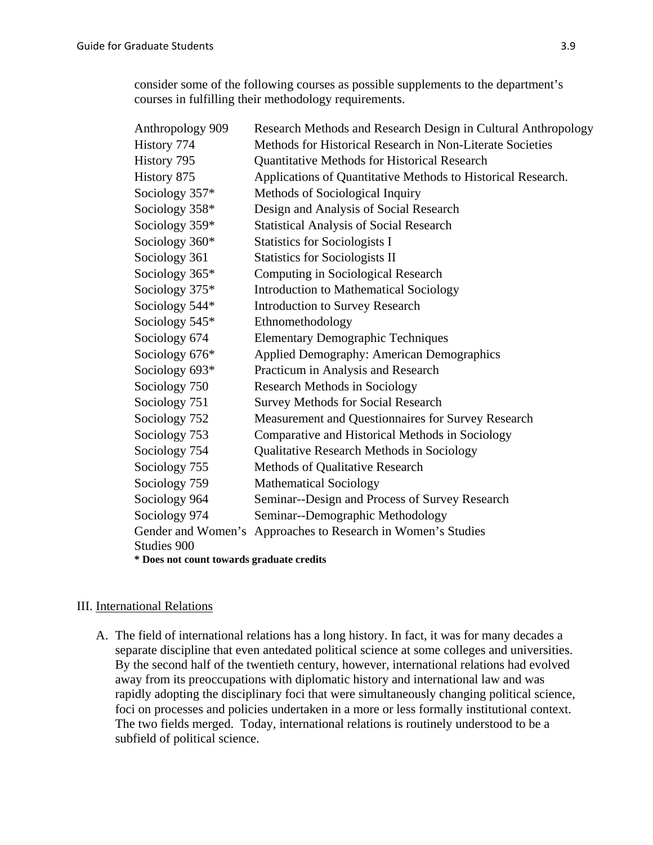consider some of the following courses as possible supplements to the department's courses in fulfilling their methodology requirements.

| Anthropology 909                          | Research Methods and Research Design in Cultural Anthropology |  |
|-------------------------------------------|---------------------------------------------------------------|--|
| History 774                               | Methods for Historical Research in Non-Literate Societies     |  |
| History 795                               | <b>Quantitative Methods for Historical Research</b>           |  |
| History 875                               | Applications of Quantitative Methods to Historical Research.  |  |
| Sociology 357*                            | Methods of Sociological Inquiry                               |  |
| Sociology 358*                            | Design and Analysis of Social Research                        |  |
| Sociology 359*                            | <b>Statistical Analysis of Social Research</b>                |  |
| Sociology 360*                            | <b>Statistics for Sociologists I</b>                          |  |
| Sociology 361                             | <b>Statistics for Sociologists II</b>                         |  |
| Sociology 365*                            | Computing in Sociological Research                            |  |
| Sociology 375*                            | <b>Introduction to Mathematical Sociology</b>                 |  |
| Sociology 544*                            | <b>Introduction to Survey Research</b>                        |  |
| Sociology 545*                            | Ethnomethodology                                              |  |
| Sociology 674                             | <b>Elementary Demographic Techniques</b>                      |  |
| Sociology 676*                            | <b>Applied Demography: American Demographics</b>              |  |
| Sociology 693*                            | Practicum in Analysis and Research                            |  |
| Sociology 750                             | <b>Research Methods in Sociology</b>                          |  |
| Sociology 751                             | <b>Survey Methods for Social Research</b>                     |  |
| Sociology 752                             | Measurement and Questionnaires for Survey Research            |  |
| Sociology 753                             | Comparative and Historical Methods in Sociology               |  |
| Sociology 754                             | <b>Qualitative Research Methods in Sociology</b>              |  |
| Sociology 755                             | <b>Methods of Qualitative Research</b>                        |  |
| Sociology 759                             | <b>Mathematical Sociology</b>                                 |  |
| Sociology 964                             | Seminar--Design and Process of Survey Research                |  |
| Sociology 974                             | Seminar--Demographic Methodology                              |  |
|                                           | Gender and Women's Approaches to Research in Women's Studies  |  |
| Studies 900                               |                                                               |  |
| * Does not count towards graduate credits |                                                               |  |

#### III. International Relations

A. The field of international relations has a long history. In fact, it was for many decades a separate discipline that even antedated political science at some colleges and universities. By the second half of the twentieth century, however, international relations had evolved away from its preoccupations with diplomatic history and international law and was rapidly adopting the disciplinary foci that were simultaneously changing political science, foci on processes and policies undertaken in a more or less formally institutional context. The two fields merged. Today, international relations is routinely understood to be a subfield of political science.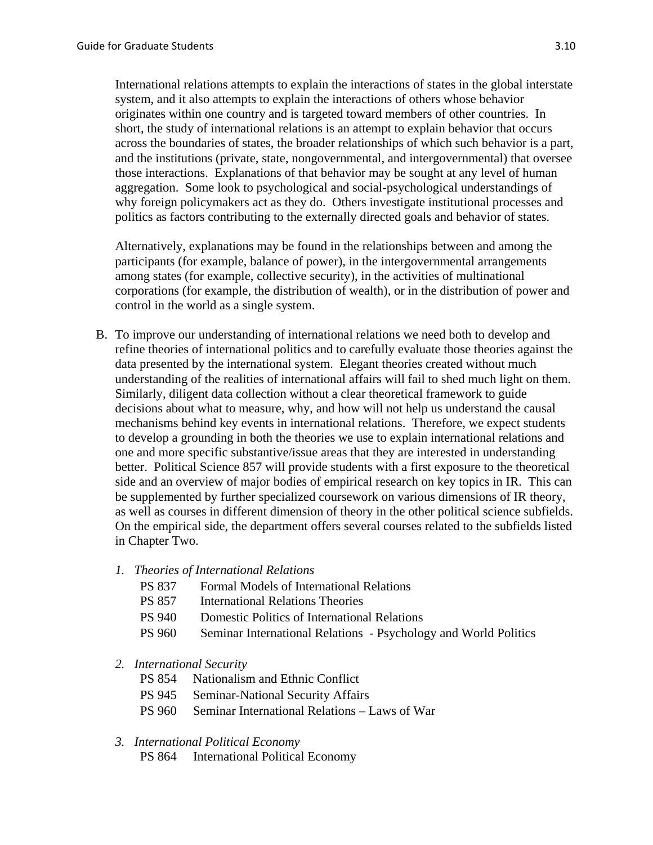International relations attempts to explain the interactions of states in the global interstate system, and it also attempts to explain the interactions of others whose behavior originates within one country and is targeted toward members of other countries. In short, the study of international relations is an attempt to explain behavior that occurs across the boundaries of states, the broader relationships of which such behavior is a part, and the institutions (private, state, nongovernmental, and intergovernmental) that oversee those interactions. Explanations of that behavior may be sought at any level of human aggregation. Some look to psychological and social-psychological understandings of why foreign policymakers act as they do. Others investigate institutional processes and politics as factors contributing to the externally directed goals and behavior of states.

Alternatively, explanations may be found in the relationships between and among the participants (for example, balance of power), in the intergovernmental arrangements among states (for example, collective security), in the activities of multinational corporations (for example, the distribution of wealth), or in the distribution of power and control in the world as a single system.

- B. To improve our understanding of international relations we need both to develop and refine theories of international politics and to carefully evaluate those theories against the data presented by the international system. Elegant theories created without much understanding of the realities of international affairs will fail to shed much light on them. Similarly, diligent data collection without a clear theoretical framework to guide decisions about what to measure, why, and how will not help us understand the causal mechanisms behind key events in international relations. Therefore, we expect students to develop a grounding in both the theories we use to explain international relations and one and more specific substantive/issue areas that they are interested in understanding better. Political Science 857 will provide students with a first exposure to the theoretical side and an overview of major bodies of empirical research on key topics in IR. This can be supplemented by further specialized coursework on various dimensions of IR theory, as well as courses in different dimension of theory in the other political science subfields. On the empirical side, the department offers several courses related to the subfields listed in Chapter Two.
	- *1. Theories of International Relations* 
		- PS 837 Formal Models of International Relations
		- PS 857 International Relations Theories
		- PS 940 Domestic Politics of International Relations
		- PS 960 Seminar International Relations Psychology and World Politics

# *2. International Security*

- PS 854 Nationalism and Ethnic Conflict
- PS 945 Seminar-National Security Affairs
- PS 960 Seminar International Relations Laws of War

# *3. International Political Economy*

PS 864 International Political Economy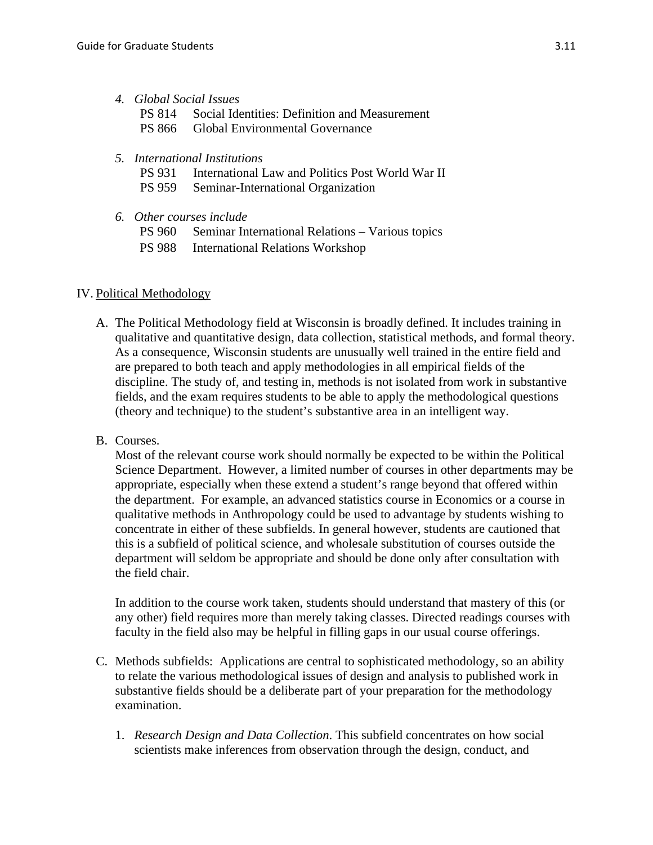### *4. Global Social Issues*

- PS 814 Social Identities: Definition and Measurement
- PS 866 Global Environmental Governance
- *5. International Institutions* 
	- PS 931 International Law and Politics Post World War II
	- PS 959 Seminar-International Organization
- *6. Other courses include* 
	- PS 960 Seminar International Relations Various topics
	- PS 988 International Relations Workshop

# IV. Political Methodology

- A. The Political Methodology field at Wisconsin is broadly defined. It includes training in qualitative and quantitative design, data collection, statistical methods, and formal theory. As a consequence, Wisconsin students are unusually well trained in the entire field and are prepared to both teach and apply methodologies in all empirical fields of the discipline. The study of, and testing in, methods is not isolated from work in substantive fields, and the exam requires students to be able to apply the methodological questions (theory and technique) to the student's substantive area in an intelligent way.
- B. Courses.

Most of the relevant course work should normally be expected to be within the Political Science Department. However, a limited number of courses in other departments may be appropriate, especially when these extend a student's range beyond that offered within the department. For example, an advanced statistics course in Economics or a course in qualitative methods in Anthropology could be used to advantage by students wishing to concentrate in either of these subfields. In general however, students are cautioned that this is a subfield of political science, and wholesale substitution of courses outside the department will seldom be appropriate and should be done only after consultation with the field chair.

In addition to the course work taken, students should understand that mastery of this (or any other) field requires more than merely taking classes. Directed readings courses with faculty in the field also may be helpful in filling gaps in our usual course offerings.

- C. Methods subfields: Applications are central to sophisticated methodology, so an ability to relate the various methodological issues of design and analysis to published work in substantive fields should be a deliberate part of your preparation for the methodology examination.
	- 1. *Research Design and Data Collection*. This subfield concentrates on how social scientists make inferences from observation through the design, conduct, and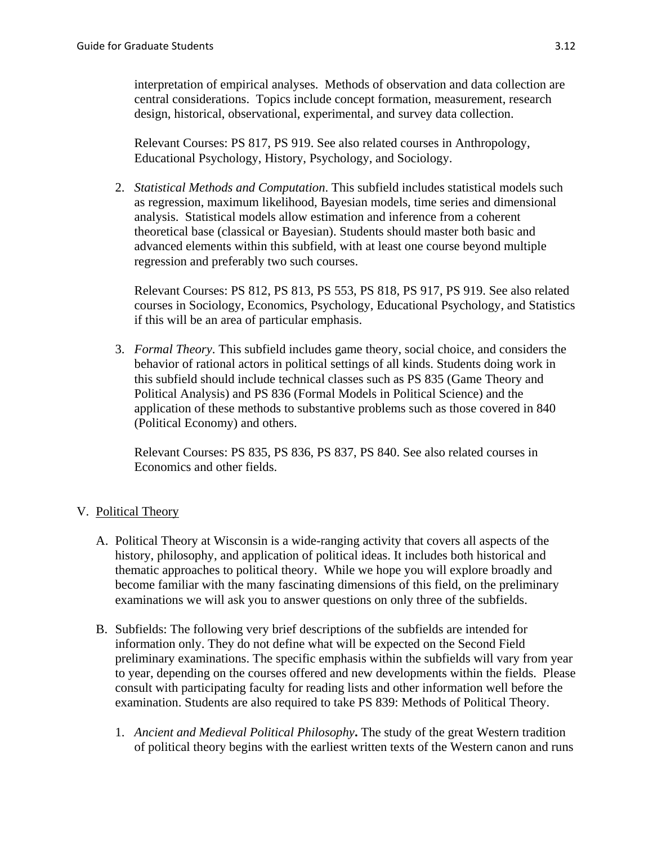interpretation of empirical analyses. Methods of observation and data collection are central considerations. Topics include concept formation, measurement, research design, historical, observational, experimental, and survey data collection.

Relevant Courses: PS 817, PS 919. See also related courses in Anthropology, Educational Psychology, History, Psychology, and Sociology.

2. *Statistical Methods and Computation*. This subfield includes statistical models such as regression, maximum likelihood, Bayesian models, time series and dimensional analysis. Statistical models allow estimation and inference from a coherent theoretical base (classical or Bayesian). Students should master both basic and advanced elements within this subfield, with at least one course beyond multiple regression and preferably two such courses.

Relevant Courses: PS 812, PS 813, PS 553, PS 818, PS 917, PS 919. See also related courses in Sociology, Economics, Psychology, Educational Psychology, and Statistics if this will be an area of particular emphasis.

3. *Formal Theory*. This subfield includes game theory, social choice, and considers the behavior of rational actors in political settings of all kinds. Students doing work in this subfield should include technical classes such as PS 835 (Game Theory and Political Analysis) and PS 836 (Formal Models in Political Science) and the application of these methods to substantive problems such as those covered in 840 (Political Economy) and others.

Relevant Courses: PS 835, PS 836, PS 837, PS 840. See also related courses in Economics and other fields.

# V. Political Theory

- A. Political Theory at Wisconsin is a wide-ranging activity that covers all aspects of the history, philosophy, and application of political ideas. It includes both historical and thematic approaches to political theory. While we hope you will explore broadly and become familiar with the many fascinating dimensions of this field, on the preliminary examinations we will ask you to answer questions on only three of the subfields.
- B. Subfields: The following very brief descriptions of the subfields are intended for information only. They do not define what will be expected on the Second Field preliminary examinations. The specific emphasis within the subfields will vary from year to year, depending on the courses offered and new developments within the fields. Please consult with participating faculty for reading lists and other information well before the examination. Students are also required to take PS 839: Methods of Political Theory.
	- 1. *Ancient and Medieval Political Philosophy***.** The study of the great Western tradition of political theory begins with the earliest written texts of the Western canon and runs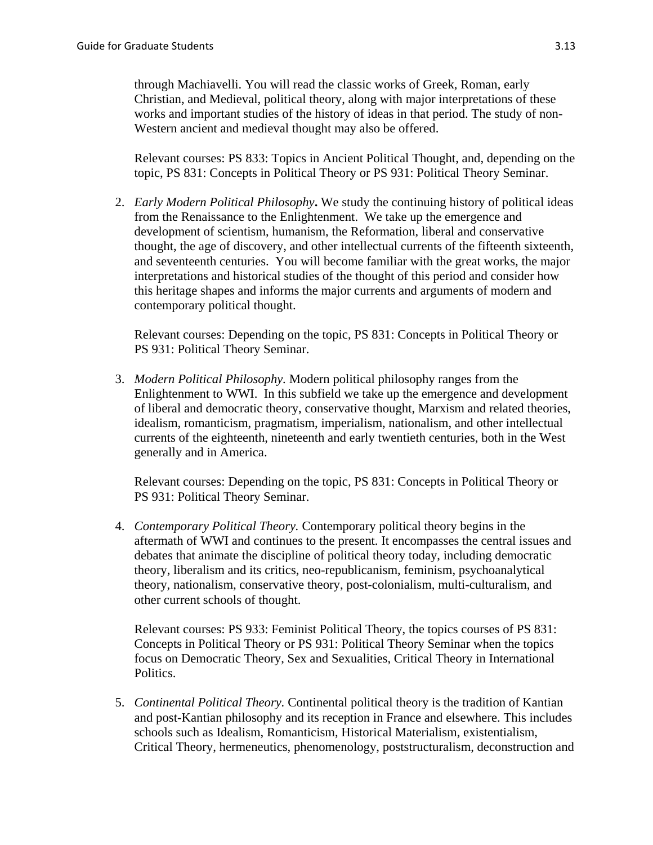through Machiavelli. You will read the classic works of Greek, Roman, early Christian, and Medieval, political theory, along with major interpretations of these works and important studies of the history of ideas in that period. The study of non-Western ancient and medieval thought may also be offered.

Relevant courses: PS 833: Topics in Ancient Political Thought, and, depending on the topic, PS 831: Concepts in Political Theory or PS 931: Political Theory Seminar.

2. *Early Modern Political Philosophy***.** We study the continuing history of political ideas from the Renaissance to the Enlightenment. We take up the emergence and development of scientism, humanism, the Reformation, liberal and conservative thought, the age of discovery, and other intellectual currents of the fifteenth sixteenth, and seventeenth centuries. You will become familiar with the great works, the major interpretations and historical studies of the thought of this period and consider how this heritage shapes and informs the major currents and arguments of modern and contemporary political thought.

Relevant courses: Depending on the topic, PS 831: Concepts in Political Theory or PS 931: Political Theory Seminar.

3. *Modern Political Philosophy.* Modern political philosophy ranges from the Enlightenment to WWI. In this subfield we take up the emergence and development of liberal and democratic theory, conservative thought, Marxism and related theories, idealism, romanticism, pragmatism, imperialism, nationalism, and other intellectual currents of the eighteenth, nineteenth and early twentieth centuries, both in the West generally and in America.

Relevant courses: Depending on the topic, PS 831: Concepts in Political Theory or PS 931: Political Theory Seminar.

4. *Contemporary Political Theory.* Contemporary political theory begins in the aftermath of WWI and continues to the present. It encompasses the central issues and debates that animate the discipline of political theory today, including democratic theory, liberalism and its critics, neo-republicanism, feminism, psychoanalytical theory, nationalism, conservative theory, post-colonialism, multi-culturalism, and other current schools of thought.

Relevant courses: PS 933: Feminist Political Theory, the topics courses of PS 831: Concepts in Political Theory or PS 931: Political Theory Seminar when the topics focus on Democratic Theory, Sex and Sexualities, Critical Theory in International Politics.

5. *Continental Political Theory.* Continental political theory is the tradition of Kantian and post-Kantian philosophy and its reception in France and elsewhere. This includes schools such as Idealism, Romanticism, Historical Materialism, existentialism, Critical Theory, hermeneutics, phenomenology, poststructuralism, deconstruction and